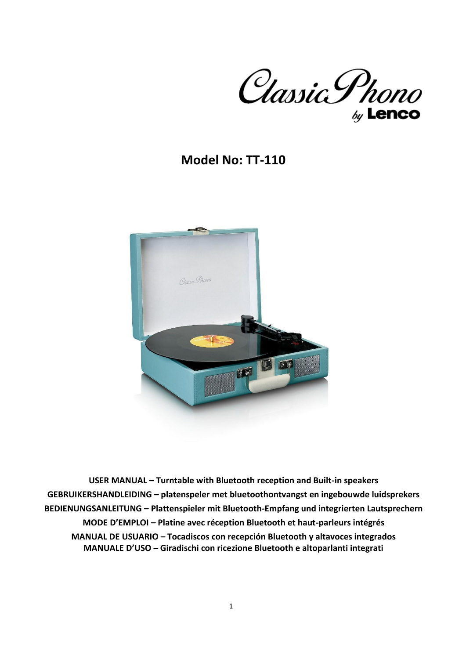

# **Model No: TT-110**



**USER MANUAL – Turntable with Bluetooth reception and Built-in speakers GEBRUIKERSHANDLEIDING – platenspeler met bluetoothontvangst en ingebouwde luidsprekers BEDIENUNGSANLEITUNG – Plattenspieler mit Bluetooth-Empfang und integrierten Lautsprechern MODE D'EMPLOI – Platine avec réception Bluetooth et haut-parleurs intégrés MANUAL DE USUARIO – Tocadiscos con recepción Bluetooth y altavoces integrados MANUALE D'USO – Giradischi con ricezione Bluetooth e altoparlanti integrati**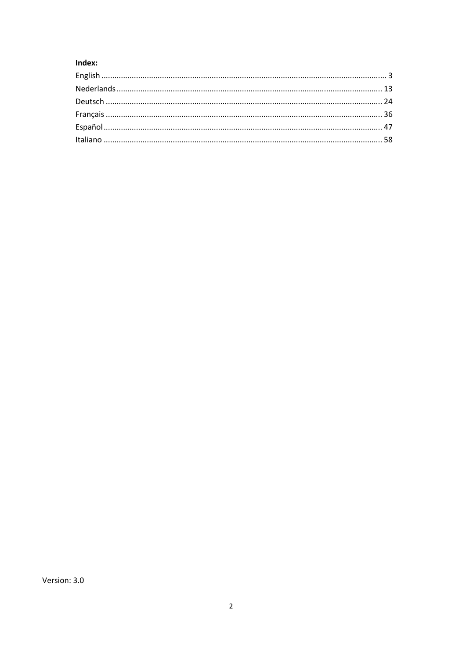# Index: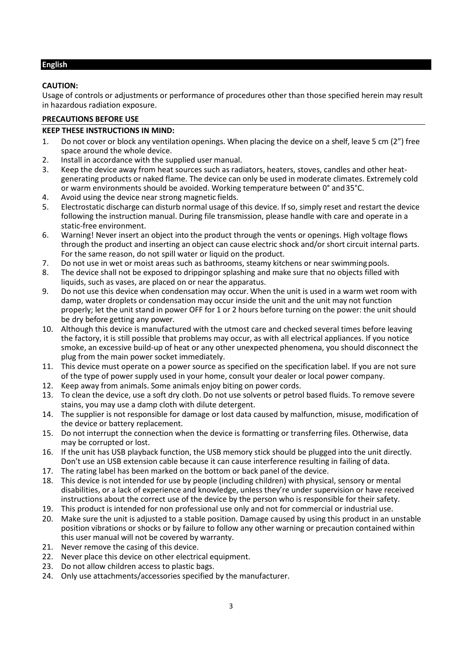# <span id="page-2-0"></span>**English**

# **CAUTION:**

Usage of controls or adjustments or performance of procedures other than those specified herein may result in hazardous radiation exposure.

# **PRECAUTIONS BEFORE USE**

# **KEEP THESE INSTRUCTIONS IN MIND:**

- 1. Do not cover or block any ventilation openings. When placing the device on a shelf, leave 5 cm (2") free space around the whole device.
- 2. Install in accordance with the supplied user manual.<br>3. Keep the device away from heat sources such as radi
- Keep the device away from heat sources such as radiators, heaters, stoves, candles and other heatgenerating products or naked flame. The device can only be used in moderate climates. Extremely cold or warm environments should be avoided. Working temperature between 0° and35°C.
- 4. Avoid using the device near strong magnetic fields.
- 5. Electrostatic discharge can disturb normal usage of this device. Ifso, simply reset and restart the device following the instruction manual. During file transmission, please handle with care and operate in a static-free environment.
- 6. Warning! Never insert an object into the product through the vents or openings. High voltage flows through the product and inserting an object can cause electric shock and/or short circuit internal parts. For the same reason, do not spill water or liquid on the product.
- 7. Do not use in wet or moist areas such as bathrooms, steamy kitchens or near swimmingpools.
- 8. The device shall not be exposed to drippingor splashing and make sure that no objects filled with liquids, such as vases, are placed on or near the apparatus.
- 9. Do not use this device when condensation may occur. When the unit is used in a warm wet room with damp, water droplets or condensation may occur inside the unit and the unit may not function properly; let the unit stand in power OFF for 1 or 2 hours before turning on the power: the unit should be dry before getting any power.
- 10. Although this device is manufactured with the utmost care and checked several times before leaving the factory, it is still possible that problems may occur, as with all electrical appliances. If you notice smoke, an excessive build-up of heat or any other unexpected phenomena, you should disconnect the plug from the main power socket immediately.
- 11. This device must operate on a power source as specified on the specification label. If you are not sure of the type of power supply used in your home, consult your dealer or local power company.
- 12. Keep away from animals. Some animals enjoy biting on power cords.
- 13. To clean the device, use a soft dry cloth. Do not use solvents or petrol based fluids. To remove severe stains, you may use a damp cloth with dilute detergent.
- 14. The supplier is not responsible for damage or lost data caused by malfunction, misuse, modification of the device or battery replacement.
- 15. Do not interrupt the connection when the device is formatting or transferring files. Otherwise, data may be corrupted or lost.
- 16. If the unit has USB playback function, the USB memory stick should be plugged into the unit directly. Don't use an USB extension cable because it can cause interference resulting in failing of data.
- 17. The rating label has been marked on the bottom or back panel of the device.
- 18. This device is not intended for use by people (including children) with physical, sensory or mental disabilities, or a lack of experience and knowledge, unless they're under supervision or have received instructions about the correct use of the device by the person who is responsible for their safety.
- 19. This product is intended for non professional use only and not for commercial or industrial use.
- 20. Make sure the unit is adjusted to a stable position. Damage caused by using this product in an unstable position vibrations or shocks or by failure to follow any other warning or precaution contained within this user manual will not be covered by warranty.
- 21. Never remove the casing of this device.
- 22. Never place this device on other electrical equipment.
- 23. Do not allow children access to plastic bags.
- 24. Only use attachments/accessories specified by the manufacturer.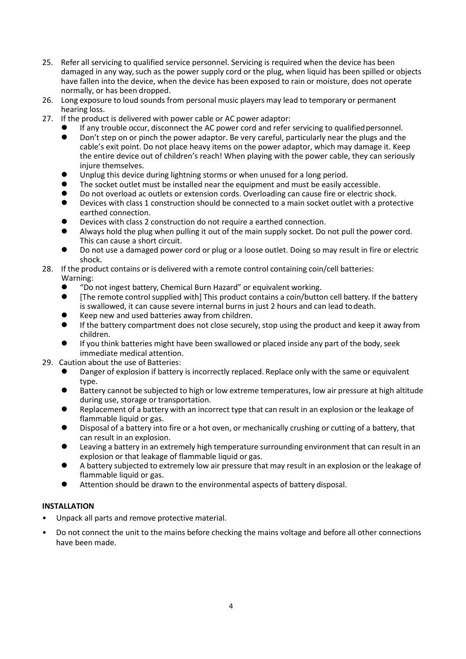- 25. Refer all servicing to qualified service personnel. Servicing is required when the device has been damaged in any way, such as the power supply cord or the plug, when liquid has been spilled or objects have fallen into the device, when the device has been exposed to rain or moisture, does not operate normally, or has been dropped.
- 26. Long exposure to loud sounds from personal music players may lead to temporary or permanent hearing loss.
- 27. If the product is delivered with power cable or AC power adaptor:
	- If any trouble occur, disconnect the AC power cord and refer servicing to qualified personnel.
		- ⚫ Don't step on or pinch the power adaptor. Be very careful, particularly near the plugs and the cable's exit point. Do not place heavy items on the power adaptor, which may damage it. Keep the entire device out of children's reach! When playing with the power cable, they can seriously injure themselves.
	- ⚫ Unplug this device during lightning storms or when unused for a long period.
	- The socket outlet must be installed near the equipment and must be easily accessible.
	- Do not overload ac outlets or extension cords. Overloading can cause fire or electric shock.<br>● Devices with class 1 construction should be connected to a main socket outlet with a proter
	- ⚫ Devices with class 1 construction should be connected to a main socket outlet with a protective earthed connection.
	- ⚫ Devices with class 2 construction do not require a earthed connection.
	- ⚫ Always hold the plug when pulling it out of the main supply socket. Do not pull the power cord. This can cause a short circuit.
	- ⚫ Do not use a damaged power cord or plug or a loose outlet. Doing so may result in fire or electric shock.

#### 28. If the product contains or is delivered with a remote control containing coin/cell batteries: Warning:

- "Do not ingest battery, Chemical Burn Hazard" or equivalent working.<br>● FThe remote control supplied with This product contains a coin/butto
- [The remote control supplied with] This product contains a coin/button cell battery. If the battery is swallowed, it can cause severe internal burns in just 2 hours and can lead todeath.
- ⚫ Keep new and used batteries away from children.
- ⚫ If the battery compartment does not close securely, stop using the product and keep it away from children.
- If you think batteries might have been swallowed or placed inside any part of the body, seek immediate medical attention.
- 29. Caution about the use of Batteries:
	- Danger of explosion if battery is incorrectly replaced. Replace only with the same or equivalent type.
	- ⚫ Battery cannot be subjected to high or low extreme temperatures, low air pressure at high altitude during use, storage or transportation.
	- Replacement of a battery with an incorrect type that can result in an explosion or the leakage of flammable liquid or gas.
	- ⚫ Disposal of a battery into fire or a hot oven, or mechanically crushing or cutting of a battery, that can result in an explosion.
	- Leaving a battery in an extremely high temperature surrounding environment that can result in an explosion or that leakage of flammable liquid or gas.
	- ⚫ A battery subjected to extremely low air pressure that may result in an explosion or the leakage of flammable liquid or gas.
	- ⚫ Attention should be drawn to the environmental aspects of battery disposal.

# **INSTALLATION**

- Unpack all parts and remove protective material.
- Do not connect the unit to the mains before checking the mains voltage and before all other connections have been made.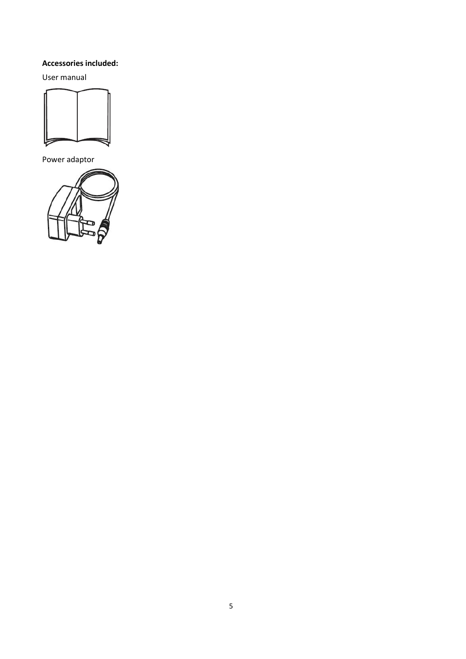# **Accessories included:**

User manual



Power adaptor

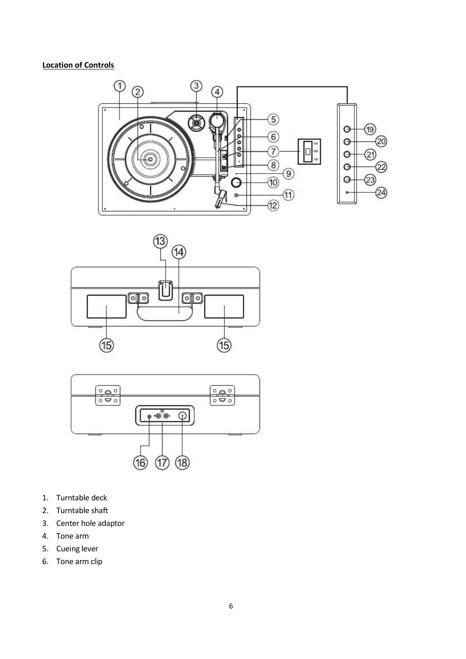# **Location of Controls**







- 1. Turntable deck
- 2. Turntable shaft
- 3. Center hole adaptor
- 4. Tone arm
- 5. Cueing lever
- 6. Tone arm clip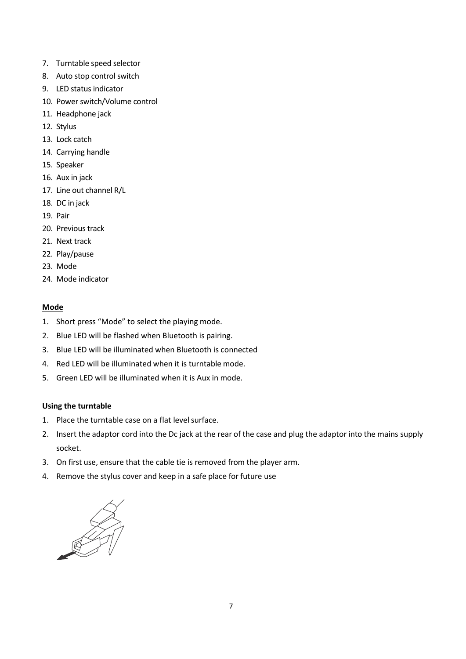- 7. Turntable speed selector
- 8. Auto stop control switch
- 9. LED status indicator
- 10. Power switch/Volume control
- 11. Headphone jack
- 12. Stylus
- 13. Lock catch
- 14. Carrying handle
- 15. Speaker
- 16. Aux in jack
- 17. Line out channel R/L
- 18. DC in jack
- 19. Pair
- 20. Previous track
- 21. Next track
- 22. Play/pause
- 23. Mode
- 24. Mode indicator

# **Mode**

- 1. Short press "Mode" to select the playing mode.
- 2. Blue LED will be flashed when Bluetooth is pairing.
- 3. Blue LED will be illuminated when Bluetooth is connected
- 4. Red LED will be illuminated when it is turntable mode.
- 5. Green LED will be illuminated when it is Aux in mode.

# **Using the turntable**

- 1. Place the turntable case on a flat level surface.
- 2. Insert the adaptor cord into the Dc jack at the rear of the case and plug the adaptor into the mains supply socket.
- 3. On first use, ensure that the cable tie is removed from the player arm.
- 4. Remove the stylus cover and keep in a safe place for future use

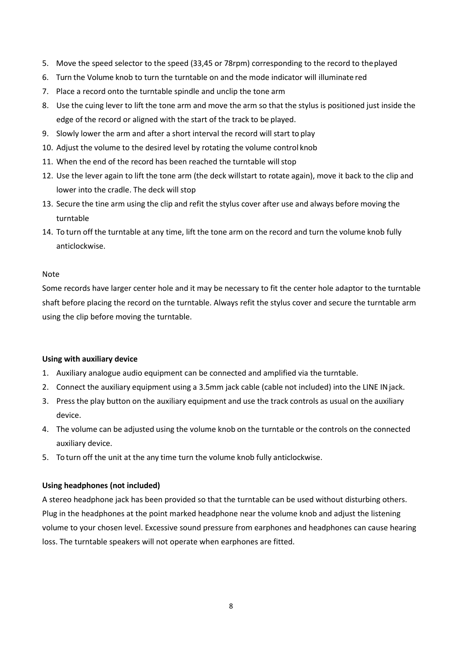- 5. Move the speed selector to the speed (33,45 or 78rpm) corresponding to the record to theplayed
- 6. Turn the Volume knob to turn the turntable on and the mode indicator will illuminate red
- 7. Place a record onto the turntable spindle and unclip the tone arm
- 8. Use the cuing lever to lift the tone arm and move the arm so that the stylus is positioned just inside the edge of the record or aligned with the start of the track to be played.
- 9. Slowly lower the arm and after a short interval the record will start to play
- 10. Adjust the volume to the desired level by rotating the volume control knob
- 11. When the end of the record has been reached the turntable will stop
- 12. Use the lever again to lift the tone arm (the deck willstart to rotate again), move it back to the clip and lower into the cradle. The deck will stop
- 13. Secure the tine arm using the clip and refit the stylus cover after use and always before moving the turntable
- 14. To turn off the turntable at any time, lift the tone arm on the record and turn the volume knob fully anticlockwise.

#### Note

Some records have larger center hole and it may be necessary to fit the center hole adaptor to the turntable shaft before placing the record on the turntable. Always refit the stylus cover and secure the turntable arm using the clip before moving the turntable.

# **Using with auxiliary device**

- 1. Auxiliary analogue audio equipment can be connected and amplified via the turntable.
- 2. Connect the auxiliary equipment using a 3.5mm jack cable (cable not included) into the LINE INjack.
- 3. Press the play button on the auxiliary equipment and use the track controls as usual on the auxiliary device.
- 4. The volume can be adjusted using the volume knob on the turntable or the controls on the connected auxiliary device.
- 5. To turn off the unit at the any time turn the volume knob fully anticlockwise.

# **Using headphones (not included)**

A stereo headphone jack has been provided so that the turntable can be used without disturbing others. Plug in the headphones at the point marked headphone near the volume knob and adjust the listening volume to your chosen level. Excessive sound pressure from earphones and headphones can cause hearing loss. The turntable speakers will not operate when earphones are fitted.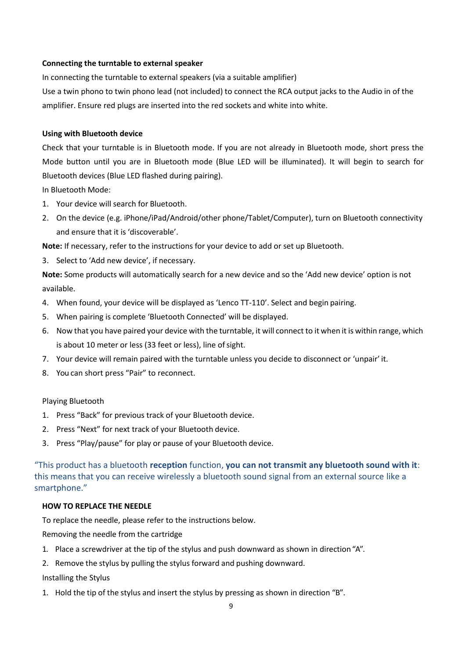# **Connecting the turntable to external speaker**

In connecting the turntable to external speakers (via a suitable amplifier)

Use a twin phono to twin phono lead (not included) to connect the RCA output jacks to the Audio in of the amplifier. Ensure red plugs are inserted into the red sockets and white into white.

#### **Using with Bluetooth device**

Check that your turntable is in Bluetooth mode. If you are not already in Bluetooth mode, short press the Mode button until you are in Bluetooth mode (Blue LED will be illuminated). It will begin to search for Bluetooth devices (Blue LED flashed during pairing).

In Bluetooth Mode:

- 1. Your device will search for Bluetooth.
- 2. On the device (e.g. iPhone/iPad/Android/other phone/Tablet/Computer), turn on Bluetooth connectivity and ensure that it is 'discoverable'.

**Note:** If necessary, refer to the instructions for your device to add or set up Bluetooth.

3. Select to 'Add new device', if necessary.

**Note:** Some products will automatically search for a new device and so the 'Add new device' option is not available.

- 4. When found, your device will be displayed as 'Lenco TT-110'. Select and begin pairing.
- 5. When pairing is complete 'Bluetooth Connected' will be displayed.
- 6. Now that you have paired your device with the turntable, it will connect to it when it is within range, which is about 10 meter or less (33 feet or less), line of sight.
- 7. Your device will remain paired with the turntable unless you decide to disconnect or 'unpair' it.
- 8. You can short press "Pair" to reconnect.

#### Playing Bluetooth

- 1. Press "Back" for previous track of your Bluetooth device.
- 2. Press "Next" for next track of your Bluetooth device.
- 3. Press "Play/pause" for play or pause of your Bluetooth device.

"This product has a bluetooth **reception** function, **you can not transmit any bluetooth sound with it**: this means that you can receive wirelessly a bluetooth sound signal from an external source like a smartphone."

#### **HOW TO REPLACE THE NEEDLE**

To replace the needle, please refer to the instructions below.

Removing the needle from the cartridge

- 1. Place a screwdriver at the tip of the stylus and push downward as shown in direction "A".
- 2. Remove the stylus by pulling the stylus forward and pushing downward.

Installing the Stylus

1. Hold the tip of the stylus and insert the stylus by pressing as shown in direction "B".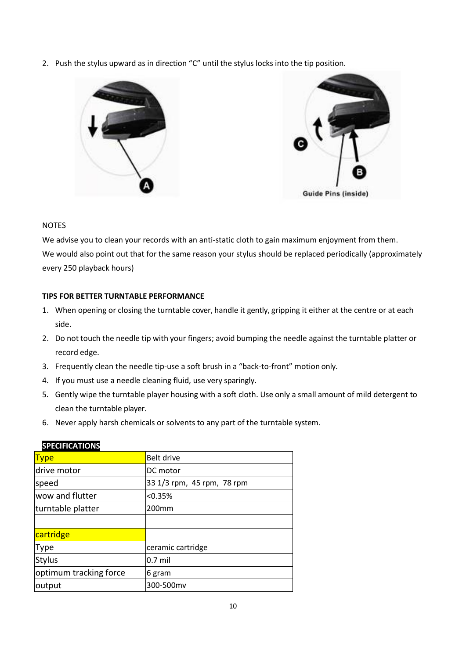2. Push the stylus upward as in direction "C" until the stylus locks into the tip position.



# NOTES

We advise you to clean your records with an anti-static cloth to gain maximum enjoyment from them. We would also point out that for the same reason your stylus should be replaced periodically (approximately every 250 playback hours)

# **TIPS FOR BETTER TURNTABLE PERFORMANCE**

- 1. When opening or closing the turntable cover, handle it gently, gripping it either at the centre or at each side.
- 2. Do not touch the needle tip with your fingers; avoid bumping the needle against the turntable platter or record edge.
- 3. Frequently clean the needle tip-use a soft brush in a "back-to-front" motion only.
- 4. If you must use a needle cleaning fluid, use very sparingly.
- 5. Gently wipe the turntable player housing with a soft cloth. Use only a small amount of mild detergent to clean the turntable player.
- 6. Never apply harsh chemicals or solvents to any part of the turntable system.

| <b>Type</b>            | Belt drive                 |
|------------------------|----------------------------|
| drive motor            | DC motor                   |
| speed                  | 33 1/3 rpm, 45 rpm, 78 rpm |
| wow and flutter        | < 0.35%                    |
| turntable platter      | 200 <sub>mm</sub>          |
|                        |                            |
| cartridge              |                            |
| <b>Type</b>            | ceramic cartridge          |
| <b>Stylus</b>          | $0.7$ mil                  |
| optimum tracking force | 6 gram                     |
| output                 | 300-500mv                  |

# **SPECIFICATIONS**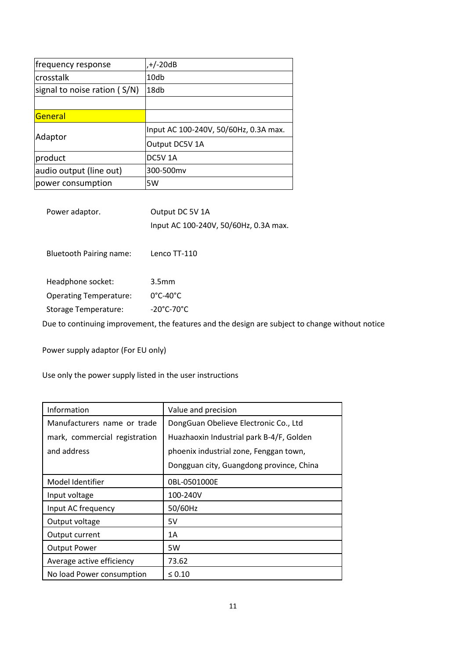| frequency response           | $,+/-20dB$                            |
|------------------------------|---------------------------------------|
| crosstalk                    | 10db                                  |
| signal to noise ration (S/N) | 18db                                  |
|                              |                                       |
| General                      |                                       |
| Adaptor                      | Input AC 100-240V, 50/60Hz, 0.3A max. |
|                              | Output DC5V 1A                        |
| product                      | DC5V <sub>1</sub> A                   |
| audio output (line out)      | 300-500mv                             |
| power consumption            | 5W                                    |

| Power adaptor.                 | Output DC 5V 1A                                                                                 |
|--------------------------------|-------------------------------------------------------------------------------------------------|
|                                | Input AC 100-240V, 50/60Hz, 0.3A max.                                                           |
|                                |                                                                                                 |
| <b>Bluetooth Pairing name:</b> | Lenco TT-110                                                                                    |
|                                |                                                                                                 |
| Headphone socket:              | 3.5 <sub>mm</sub>                                                                               |
| <b>Operating Temperature:</b>  | $0^{\circ}$ C-40 $^{\circ}$ C                                                                   |
| Storage Temperature:           | $-20^{\circ}$ C-70 $^{\circ}$ C                                                                 |
|                                | Due to continuing improvement, the features and the design are subject to change without notice |

Power supply adaptor (For EU only)

Use only the power supply listed in the user instructions

| Information                   | Value and precision                      |
|-------------------------------|------------------------------------------|
| Manufacturers name or trade   | DongGuan Obelieve Electronic Co., Ltd    |
| mark, commercial registration | Huazhaoxin Industrial park B-4/F, Golden |
| and address                   | phoenix industrial zone, Fenggan town,   |
|                               | Dongguan city, Guangdong province, China |
| Model Identifier              | 0BL-0501000E                             |
| Input voltage                 | 100-240V                                 |
| Input AC frequency            | 50/60Hz                                  |
| Output voltage                | 5V                                       |
| Output current                | 1A                                       |
| <b>Output Power</b>           | 5W                                       |
| Average active efficiency     | 73.62                                    |
| No load Power consumption     | $\leq 0.10$                              |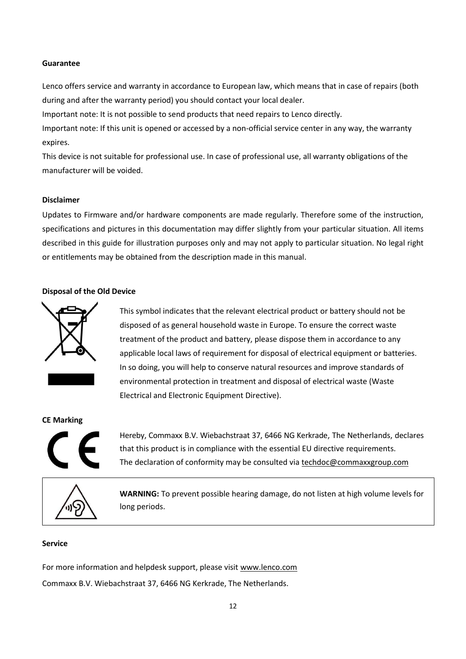## **Guarantee**

Lenco offers service and warranty in accordance to European law, which means that in case of repairs (both during and after the warranty period) you should contact your local dealer.

Important note: It is not possible to send products that need repairs to Lenco directly.

Important note: If this unit is opened or accessed by a non-official service center in any way, the warranty expires.

This device is not suitable for professional use. In case of professional use, all warranty obligations of the manufacturer will be voided.

#### **Disclaimer**

Updates to Firmware and/or hardware components are made regularly. Therefore some of the instruction, specifications and pictures in this documentation may differ slightly from your particular situation. All items described in this guide for illustration purposes only and may not apply to particular situation. No legal right or entitlements may be obtained from the description made in this manual.

#### **Disposal of the Old Device**



This symbol indicates that the relevant electrical product or battery should not be disposed of as general household waste in Europe. To ensure the correct waste treatment of the product and battery, please dispose them in accordance to any applicable local laws of requirement for disposal of electrical equipment or batteries. In so doing, you will help to conserve natural resources and improve standards of environmental protection in treatment and disposal of electrical waste (Waste Electrical and Electronic Equipment Directive).

#### **CE Marking**



Hereby, Commaxx B.V. Wiebachstraat 37, 6466 NG Kerkrade, The Netherlands, declares that this product is in compliance with the essential EU directive requirements. The declaration of conformity may be consulted via [techdoc@commaxxgroup.com](mailto:techdoc@commaxxgroup.com)



**WARNING:** To prevent possible hearing damage, do not listen at high volume levels for long periods.

# **Service**

For more information and helpdesk support, please visit [www.lenco.com](http://www.lenco.com/) Commaxx B.V. Wiebachstraat 37, 6466 NG Kerkrade, The Netherlands.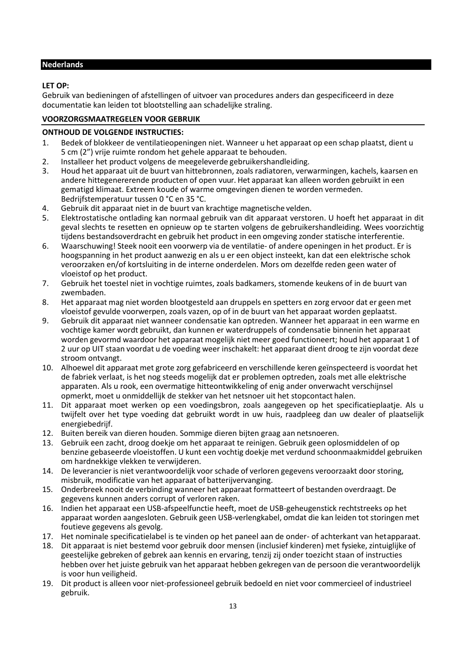# <span id="page-12-0"></span>**Nederlands**

# **LET OP:**

Gebruik van bedieningen of afstellingen of uitvoer van procedures anders dan gespecificeerd in deze documentatie kan leiden tot blootstelling aan schadelijke straling.

# **VOORZORGSMAATREGELEN VOOR GEBRUIK**

# **ONTHOUD DE VOLGENDE INSTRUCTIES:**

- 1. Bedek of blokkeer de ventilatieopeningen niet. Wanneer u het apparaat op een schap plaatst, dient u 5 cm (2") vrije ruimte rondom het gehele apparaat te behouden.
- 2. Installeer het product volgens de meegeleverde gebruikershandleiding.
- 3. Houd het apparaat uit de buurt van hittebronnen, zoals radiatoren, verwarmingen, kachels, kaarsen en andere hittegenererende producten of open vuur. Het apparaat kan alleen worden gebruikt in een gematigd klimaat. Extreem koude of warme omgevingen dienen te worden vermeden. Bedrijfstemperatuur tussen 0 °C en 35 °C.
- 4. Gebruik dit apparaat niet in de buurt van krachtige magnetische velden.
- 5. Elektrostatische ontlading kan normaal gebruik van dit apparaat verstoren. U hoeft het apparaat in dit geval slechts te resetten en opnieuw op te starten volgens de gebruikershandleiding. Wees voorzichtig tijdens bestandsoverdracht en gebruik het product in een omgeving zonder statische interferentie.
- 6. Waarschuwing! Steek nooit een voorwerp via de ventilatie- of andere openingen in het product. Er is hoogspanning in het product aanwezig en als u er een object insteekt, kan dat een elektrische schok veroorzaken en/of kortsluiting in de interne onderdelen. Mors om dezelfde reden geen water of vloeistof op het product.
- 7. Gebruik het toestel niet in vochtige ruimtes, zoals badkamers, stomende keukens of in de buurt van zwembaden.
- 8. Het apparaat mag niet worden blootgesteld aan druppels en spetters en zorg ervoor dat er geen met vloeistof gevulde voorwerpen, zoals vazen, op of in de buurt van het apparaat worden geplaatst.
- 9. Gebruik dit apparaat niet wanneer condensatie kan optreden. Wanneer het apparaat in een warme en vochtige kamer wordt gebruikt, dan kunnen er waterdruppels of condensatie binnenin het apparaat worden gevormd waardoor het apparaat mogelijk niet meer goed functioneert; houd het apparaat 1 of 2 uur op UIT staan voordat u de voeding weer inschakelt: het apparaat dient droog te zijn voordat deze stroom ontvangt.
- 10. Alhoewel dit apparaat met grote zorg gefabriceerd en verschillende keren geïnspecteerd is voordat het de fabriek verlaat, is het nog steeds mogelijk dat er problemen optreden, zoals met alle elektrische apparaten. Als u rook, een overmatige hitteontwikkeling of enig ander onverwacht verschijnsel opmerkt, moet u onmiddellijk de stekker van het netsnoer uit het stopcontact halen.
- 11. Dit apparaat moet werken op een voedingsbron, zoals aangegeven op het specificatieplaatje. Als u twijfelt over het type voeding dat gebruikt wordt in uw huis, raadpleeg dan uw dealer of plaatselijk energiebedrijf.
- 12. Buiten bereik van dieren houden. Sommige dieren bijten graag aan netsnoeren.
- 13. Gebruik een zacht, droog doekje om het apparaat te reinigen. Gebruik geen oplosmiddelen of op benzine gebaseerde vloeistoffen. U kunt een vochtig doekje met verdund schoonmaakmiddel gebruiken om hardnekkige vlekken te verwijderen.
- 14. De leverancier is niet verantwoordelijk voor schade of verloren gegevens veroorzaakt door storing, misbruik, modificatie van het apparaat of batterijvervanging.
- 15. Onderbreek nooit de verbinding wanneer het apparaat formatteert of bestanden overdraagt. De gegevens kunnen anders corrupt of verloren raken.
- 16. Indien het apparaat een USB-afspeelfunctie heeft, moet de USB-geheugenstick rechtstreeks op het apparaat worden aangesloten. Gebruik geen USB-verlengkabel, omdat die kan leiden tot storingen met foutieve gegevens als gevolg.
- 17. Het nominale specificatielabel is te vinden op het paneel aan de onder- of achterkant van hetapparaat.
- 18. Dit apparaat is niet bestemd voor gebruik door mensen (inclusief kinderen) met fysieke, zintuiglijke of geestelijke gebreken of gebrek aan kennis en ervaring, tenzij zij onder toezicht staan of instructies hebben over het juiste gebruik van het apparaat hebben gekregen van de persoon die verantwoordelijk is voor hun veiligheid.
- 19. Dit product is alleen voor niet-professioneel gebruik bedoeld en niet voor commercieel of industrieel gebruik.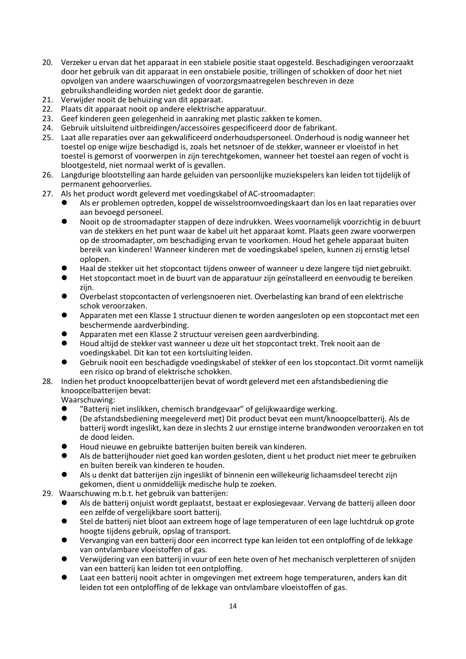- 20. Verzeker u ervan dat het apparaat in een stabiele positie staat opgesteld. Beschadigingen veroorzaakt door het gebruik van dit apparaat in een onstabiele positie, trillingen of schokken of door het niet opvolgen van andere waarschuwingen of voorzorgsmaatregelen beschreven in deze gebruikshandleiding worden niet gedekt door de garantie.
- 21. Verwijder nooit de behuizing van dit apparaat.
- 22. Plaats dit apparaat nooit op andere elektrische apparatuur.
- 23. Geef kinderen geen gelegenheid in aanraking met plastic zakken te komen.
- 24. Gebruik uitsluitend uitbreidingen/accessoires gespecificeerd door de fabrikant.
- 25. Laat alle reparaties over aan gekwalificeerd onderhoudspersoneel. Onderhoud is nodig wanneer het toestel op enige wijze beschadigd is, zoals het netsnoer of de stekker, wanneer er vloeistof in het toestel is gemorst of voorwerpen in zijn terechtgekomen, wanneer het toestel aan regen of vocht is blootgesteld, niet normaal werkt of is gevallen.
- 26. Langdurige blootstelling aan harde geluiden van persoonlijke muziekspelers kan leiden tot tijdelijk of permanent gehoorverlies.
- 27. Als het product wordt geleverd met voedingskabel of AC-stroomadapter:
	- ⚫ Als er problemen optreden, koppel de wisselstroomvoedingskaart dan los en laat reparaties over aan bevoegd personeel.
	- ⚫ Nooit op de stroomadapter stappen of deze indrukken. Wees voornamelijk voorzichtig in debuurt van de stekkers en het punt waar de kabel uit het apparaat komt. Plaats geen zware voorwerpen op de stroomadapter, om beschadiging ervan te voorkomen. Houd het gehele apparaat buiten bereik van kinderen! Wanneer kinderen met de voedingskabel spelen, kunnen zij ernstig letsel oplopen.
	- ⚫ Haal de stekker uit het stopcontact tijdens onweer of wanneer u deze langere tijd niet gebruikt.
	- ⚫ Het stopcontact moet in de buurt van de apparatuur zijn geïnstalleerd en eenvoudig te bereiken zijn.
	- ⚫ Overbelast stopcontacten of verlengsnoeren niet. Overbelasting kan brand of een elektrische schok veroorzaken.
	- ⚫ Apparaten met een Klasse 1 structuur dienen te worden aangesloten op een stopcontact met een beschermende aardverbinding.
	- ⚫ Apparaten met een Klasse 2 structuur vereisen geen aardverbinding.
	- ⚫ Houd altijd de stekker vast wanneer u deze uit het stopcontact trekt. Trek nooit aan de voedingskabel. Dit kan tot een kortsluiting leiden.
	- ⚫ Gebruik nooit een beschadigde voedingskabel of stekker of een los stopcontact.Dit vormt namelijk een risico op brand of elektrische schokken.
- 28. Indien het product knoopcelbatterijen bevat of wordt geleverd met een afstandsbediening die knoopcelbatterijen bevat:

Waarschuwing:<br>
• "Batterii n

- Patterij niet inslikken, chemisch brandgevaar" of gelijkwaardige werking.<br>● One afstandsbediening meegeleverd met) Dit product bevat een munt/kno
- ⚫ (De afstandsbediening meegeleverd met) Dit product bevat een munt/knoopcelbatterij. Als de batterij wordt ingeslikt, kan deze in slechts 2 uur ernstige interne brandwonden veroorzaken en tot de dood leiden.
- ⚫ Houd nieuwe en gebruikte batterijen buiten bereik van kinderen.
- ⚫ Als de batterijhouder niet goed kan worden gesloten, dient u het product niet meer te gebruiken en buiten bereik van kinderen te houden.
- Als u denkt dat batterijen zijn ingeslikt of binnenin een willekeurig lichaamsdeel terecht zijn gekomen, dient u onmiddellijk medische hulp te zoeken.
- 29. Waarschuwing m.b.t. het gebruik van batterijen:
	- ⚫ Als de batterij onjuist wordt geplaatst, bestaat er explosiegevaar. Vervang de batterij alleen door een zelfde of vergelijkbare soort batterij.
	- ⚫ Stel de batterij niet bloot aan extreem hoge of lage temperaturen of een lage luchtdruk op grote hoogte tijdens gebruik, opslag of transport.
	- ⚫ Vervanging van een batterij door een incorrect type kan leiden tot een ontploffing of de lekkage van ontvlambare vloeistoffen of gas.
	- ⚫ Verwijdering van een batterij in vuur of een hete oven of het mechanisch verpletteren of snijden van een batterij kan leiden tot een ontploffing.
	- ⚫ Laat een batterij nooit achter in omgevingen met extreem hoge temperaturen, anders kan dit leiden tot een ontploffing of de lekkage van ontvlambare vloeistoffen of gas.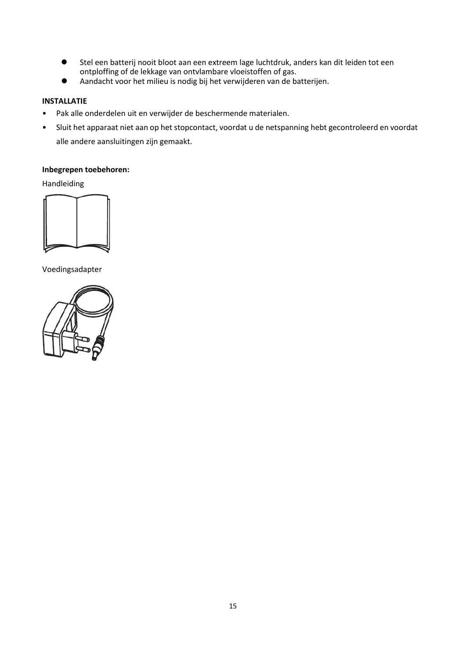- Stel een batterij nooit bloot aan een extreem lage luchtdruk, anders kan dit leiden tot een ontploffing of de lekkage van ontvlambare vloeistoffen of gas.
- ⚫ Aandacht voor het milieu is nodig bij het verwijderen van de batterijen.

# **INSTALLATIE**

- Pak alle onderdelen uit en verwijder de beschermende materialen.
- Sluit het apparaat niet aan op het stopcontact, voordat u de netspanning hebt gecontroleerd en voordat alle andere aansluitingen zijn gemaakt.

# **Inbegrepen toebehoren:**

Handleiding



Voedingsadapter

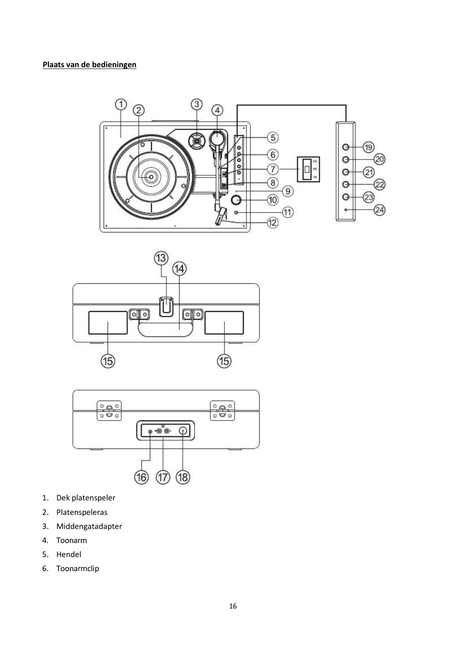





- 1. Dek platenspeler
- 2. Platenspeleras
- 3. Middengatadapter
- 4. Toonarm
- 5. Hendel
- 6. Toonarmclip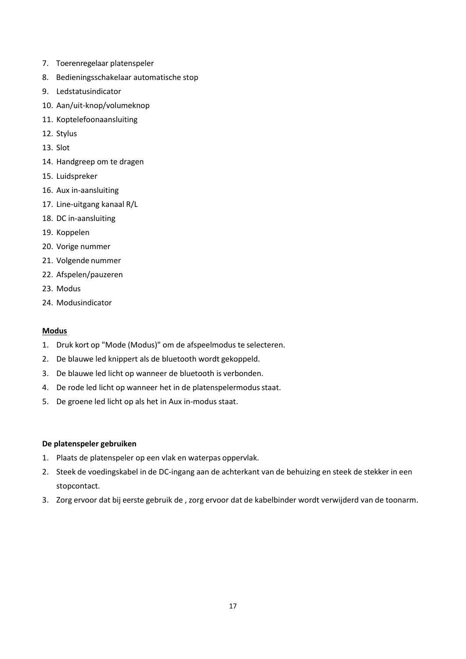- 7. Toerenregelaar platenspeler
- 8. Bedieningsschakelaar automatische stop
- 9. Ledstatusindicator
- 10. Aan/uit-knop/volumeknop
- 11. Koptelefoonaansluiting
- 12. Stylus
- 13. Slot
- 14. Handgreep om te dragen
- 15. Luidspreker
- 16. Aux in-aansluiting
- 17. Line-uitgang kanaal R/L
- 18. DC in-aansluiting
- 19. Koppelen
- 20. Vorige nummer
- 21. Volgende nummer
- 22. Afspelen/pauzeren
- 23. Modus
- 24. Modusindicator

# **Modus**

- 1. Druk kort op "Mode (Modus)" om de afspeelmodus te selecteren.
- 2. De blauwe led knippert als de bluetooth wordt gekoppeld.
- 3. De blauwe led licht op wanneer de bluetooth is verbonden.
- 4. De rode led licht op wanneer het in de platenspelermodus staat.
- 5. De groene led licht op als het in Aux in-modus staat.

# **De platenspeler gebruiken**

- 1. Plaats de platenspeler op een vlak en waterpas oppervlak.
- 2. Steek de voedingskabel in de DC-ingang aan de achterkant van de behuizing en steek de stekker in een stopcontact.
- 3. Zorg ervoor dat bij eerste gebruik de , zorg ervoor dat de kabelbinder wordt verwijderd van de toonarm.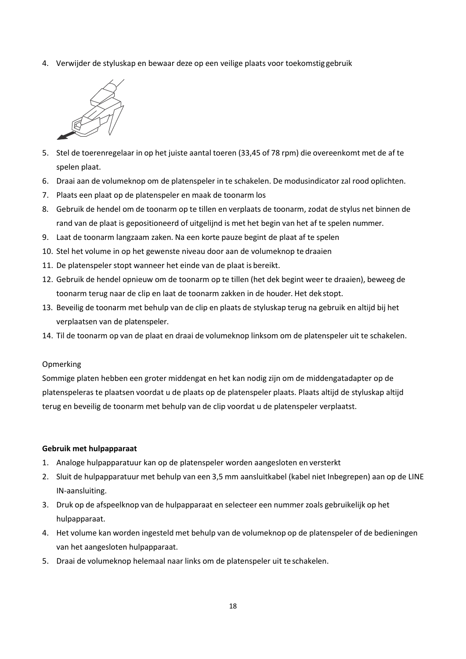4. Verwijder de styluskap en bewaar deze op een veilige plaats voor toekomstig gebruik



- 5. Stel de toerenregelaar in op het juiste aantal toeren (33,45 of 78 rpm) die overeenkomt met de af te spelen plaat.
- 6. Draai aan de volumeknop om de platenspeler in te schakelen. De modusindicator zal rood oplichten.
- 7. Plaats een plaat op de platenspeler en maak de toonarm los
- 8. Gebruik de hendel om de toonarm op te tillen en verplaats de toonarm, zodat de stylus net binnen de rand van de plaat is gepositioneerd of uitgelijnd is met het begin van het af te spelen nummer.
- 9. Laat de toonarm langzaam zaken. Na een korte pauze begint de plaat af te spelen
- 10. Stel het volume in op het gewenste niveau door aan de volumeknop te draaien
- 11. De platenspeler stopt wanneer het einde van de plaat is bereikt.
- 12. Gebruik de hendel opnieuw om de toonarm op te tillen (het dek begint weer te draaien), beweeg de toonarm terug naar de clip en laat de toonarm zakken in de houder. Het dek stopt.
- 13. Beveilig de toonarm met behulp van de clip en plaats de styluskap terug na gebruik en altijd bij het verplaatsen van de platenspeler.
- 14. Til de toonarm op van de plaat en draai de volumeknop linksom om de platenspeler uit te schakelen.

#### Opmerking

Sommige platen hebben een groter middengat en het kan nodig zijn om de middengatadapter op de platenspeleras te plaatsen voordat u de plaats op de platenspeler plaats. Plaats altijd de styluskap altijd terug en beveilig de toonarm met behulp van de clip voordat u de platenspeler verplaatst.

#### **Gebruik met hulpapparaat**

- 1. Analoge hulpapparatuur kan op de platenspeler worden aangesloten en versterkt
- 2. Sluit de hulpapparatuur met behulp van een 3,5 mm aansluitkabel (kabel niet Inbegrepen) aan op de LINE IN-aansluiting.
- 3. Druk op de afspeelknop van de hulpapparaat en selecteer een nummer zoals gebruikelijk op het hulpapparaat.
- 4. Het volume kan worden ingesteld met behulp van de volumeknop op de platenspeler of de bedieningen van het aangesloten hulpapparaat.
- 5. Draai de volumeknop helemaal naar links om de platenspeler uit te schakelen.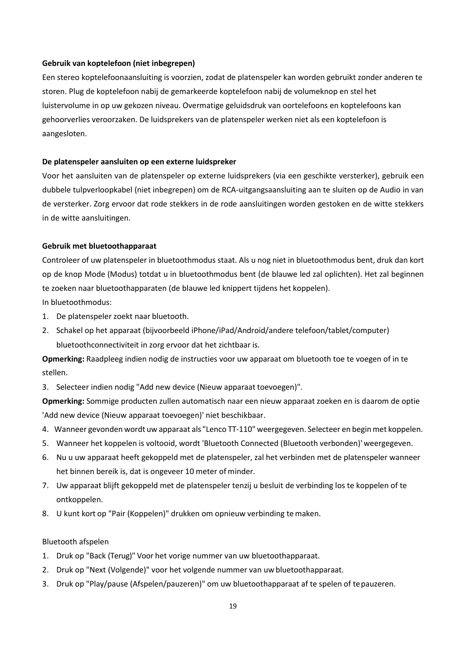#### **Gebruik van koptelefoon (niet inbegrepen)**

Een stereo koptelefoonaansluiting is voorzien, zodat de platenspeler kan worden gebruikt zonder anderen te storen. Plug de koptelefoon nabij de gemarkeerde koptelefoon nabij de volumeknop en stel het luistervolume in op uw gekozen niveau. Overmatige geluidsdruk van oortelefoons en koptelefoons kan gehoorverlies veroorzaken. De luidsprekers van de platenspeler werken niet als een koptelefoon is aangesloten.

#### **De platenspeler aansluiten op een externe luidspreker**

Voor het aansluiten van de platenspeler op externe luidsprekers (via een geschikte versterker), gebruik een dubbele tulpverloopkabel (niet inbegrepen) om de RCA-uitgangsaansluiting aan te sluiten op de Audio in van de versterker. Zorg ervoor dat rode stekkers in de rode aansluitingen worden gestoken en de witte stekkers in de witte aansluitingen.

#### **Gebruik met bluetoothapparaat**

Controleer of uw platenspeler in bluetoothmodus staat. Als u nog niet in bluetoothmodus bent, druk dan kort op de knop Mode (Modus) totdat u in bluetoothmodus bent (de blauwe led zal oplichten). Het zal beginnen te zoeken naar bluetoothapparaten (de blauwe led knippert tijdens het koppelen).

In bluetoothmodus:

- 1. De platenspeler zoekt naar bluetooth.
- 2. Schakel op het apparaat (bijvoorbeeld iPhone/iPad/Android/andere telefoon/tablet/computer) bluetoothconnectiviteit in zorg ervoor dat het zichtbaar is.

**Opmerking:** Raadpleeg indien nodig de instructies voor uw apparaat om bluetooth toe te voegen of in te stellen.

3. Selecteer indien nodig "Add new device (Nieuw apparaat toevoegen)".

**Opmerking:** Sommige producten zullen automatisch naar een nieuw apparaat zoeken en is daarom de optie 'Add new device (Nieuw apparaat toevoegen)' niet beschikbaar.

- 4. Wanneer gevonden wordt uw apparaat als "Lenco TT-110" weergegeven. Selecteer en beginmet koppelen.
- 5. Wanneer het koppelen is voltooid, wordt 'Bluetooth Connected (Bluetooth verbonden)' weergegeven.
- 6. Nu u uw apparaat heeft gekoppeld met de platenspeler, zal het verbinden met de platenspeler wanneer het binnen bereik is, dat is ongeveer 10 meter of minder.
- 7. Uw apparaat blijft gekoppeld met de platenspeler tenzij u besluit de verbinding los te koppelen of te ontkoppelen.
- 8. U kunt kort op "Pair (Koppelen)" drukken om opnieuw verbinding temaken.

#### Bluetooth afspelen

- 1. Druk op "Back (Terug)" Voor het vorige nummer van uw bluetoothapparaat.
- 2. Druk op "Next (Volgende)" voor het volgende nummer van uw bluetoothapparaat.
- 3. Druk op "Play/pause (Afspelen/pauzeren)" om uw bluetoothapparaat af te spelen of tepauzeren.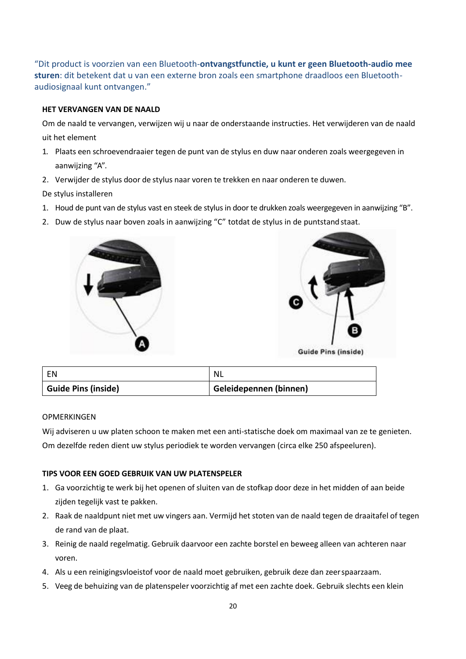"Dit product is voorzien van een Bluetooth-**ontvangstfunctie, u kunt er geen Bluetooth-audio mee sturen**: dit betekent dat u van een externe bron zoals een smartphone draadloos een Bluetoothaudiosignaal kunt ontvangen."

# **HET VERVANGEN VAN DE NAALD**

Om de naald te vervangen, verwijzen wij u naar de onderstaande instructies. Het verwijderen van de naald uit het element

- 1. Plaats een schroevendraaier tegen de punt van de stylus en duw naar onderen zoals weergegeven in aanwijzing "A".
- 2. Verwijder de stylus door de stylus naar voren te trekken en naar onderen te duwen.

De stylus installeren

- 1. Houd de punt van de stylus vast en steek de stylus in door te drukken zoals weergegeven in aanwijzing "B".
- 2. Duw de stylus naar boven zoals in aanwijzing "C" totdat de stylus in de puntstandstaat.





| l EN                       | NL N                   |
|----------------------------|------------------------|
| <b>Guide Pins (inside)</b> | Geleidepennen (binnen) |

# **OPMERKINGEN**

Wij adviseren u uw platen schoon te maken met een anti-statische doek om maximaal van ze te genieten. Om dezelfde reden dient uw stylus periodiek te worden vervangen (circa elke 250 afspeeluren).

# **TIPS VOOR EEN GOED GEBRUIK VAN UW PLATENSPELER**

- 1. Ga voorzichtig te werk bij het openen of sluiten van de stofkap door deze in het midden of aan beide zijden tegelijk vast te pakken.
- 2. Raak de naaldpunt niet met uw vingers aan. Vermijd het stoten van de naald tegen de draaitafel of tegen de rand van de plaat.
- 3. Reinig de naald regelmatig. Gebruik daarvoor een zachte borstel en beweeg alleen van achteren naar voren.
- 4. Als u een reinigingsvloeistof voor de naald moet gebruiken, gebruik deze dan zeerspaarzaam.
- 5. Veeg de behuizing van de platenspeler voorzichtig af met een zachte doek. Gebruik slechts een klein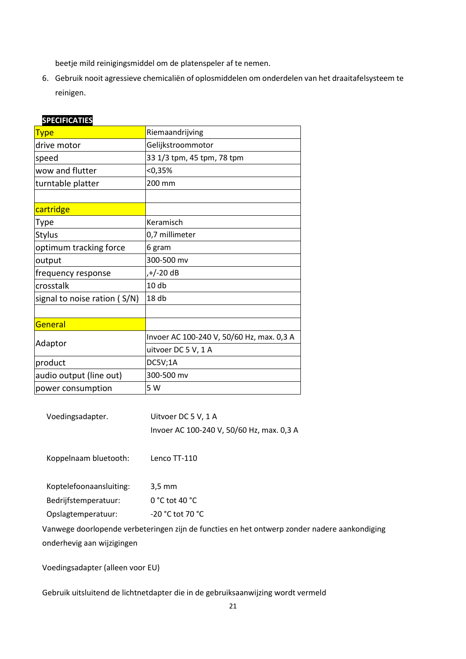beetje mild reinigingsmiddel om de platenspeler af te nemen.

6. Gebruik nooit agressieve chemicaliën of oplosmiddelen om onderdelen van het draaitafelsysteem te reinigen.

| <b>SELUITIUATILS</b>         |                                           |
|------------------------------|-------------------------------------------|
| <b>Type</b>                  | Riemaandrijving                           |
| drive motor                  | Gelijkstroommotor                         |
| speed                        | 33 1/3 tpm, 45 tpm, 78 tpm                |
| wow and flutter              | < 0,35%                                   |
| turntable platter            | 200 mm                                    |
|                              |                                           |
| cartridge                    |                                           |
| Type                         | Keramisch                                 |
| <b>Stylus</b>                | 0,7 millimeter                            |
| optimum tracking force       | 6 gram                                    |
| output                       | 300-500 mv                                |
| frequency response           | ,+/-20 dB                                 |
| crosstalk                    | 10 <sub>db</sub>                          |
| signal to noise ration (S/N) | 18 db                                     |
|                              |                                           |
| General                      |                                           |
| Adaptor                      | Invoer AC 100-240 V, 50/60 Hz, max. 0,3 A |
|                              | uitvoer DC 5 V, 1 A                       |
| product                      | DC5V;1A                                   |
| audio output (line out)      | 300-500 mv                                |
| power consumption            | 5 W                                       |

# **SPECIFICATIES**

Voedingsadapter. Uitvoer DC 5 V, 1 A Invoer AC 100-240 V, 50/60 Hz, max. 0,3 A

Koppelnaam bluetooth: Lenco TT-110

Koptelefoonaansluiting: 3,5 mm Bedrijfstemperatuur: 0 °C tot 40 °C Opslagtemperatuur: -20 °C tot 70 °C

Vanwege doorlopende verbeteringen zijn de functies en het ontwerp zonder nadere aankondiging onderhevig aan wijzigingen

Voedingsadapter (alleen voor EU)

Gebruik uitsluitend de lichtnetdapter die in de gebruiksaanwijzing wordt vermeld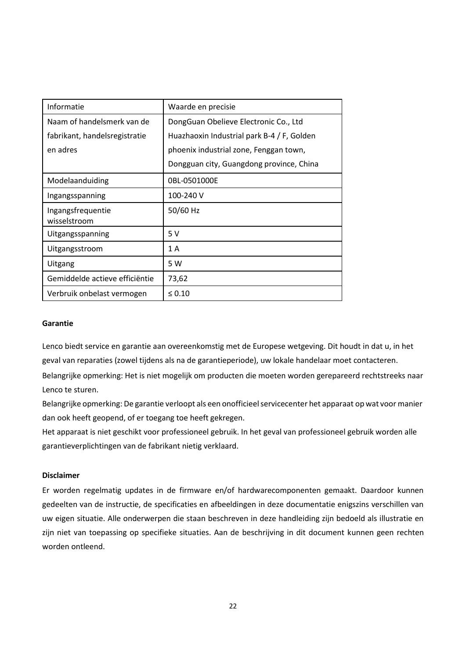| Informatie                        | Waarde en precisie                         |
|-----------------------------------|--------------------------------------------|
| Naam of handelsmerk van de        | DongGuan Obelieve Electronic Co., Ltd      |
| fabrikant, handelsregistratie     | Huazhaoxin Industrial park B-4 / F, Golden |
| en adres                          | phoenix industrial zone, Fenggan town,     |
|                                   | Dongguan city, Guangdong province, China   |
| Modelaanduiding                   | 0BL-0501000E                               |
| Ingangsspanning                   | 100-240 V                                  |
| Ingangsfrequentie<br>wisselstroom | 50/60 Hz                                   |
| Uitgangsspanning                  | 5V                                         |
| Uitgangsstroom                    | 1 A                                        |
| Uitgang                           | 5 W                                        |
| Gemiddelde actieve efficiëntie    | 73,62                                      |
| Verbruik onbelast vermogen        | $\leq 0.10$                                |

## **Garantie**

Lenco biedt service en garantie aan overeenkomstig met de Europese wetgeving. Dit houdt in dat u, in het geval van reparaties (zowel tijdens als na de garantieperiode), uw lokale handelaar moet contacteren. Belangrijke opmerking: Het is niet mogelijk om producten die moeten worden gerepareerd rechtstreeks naar Lenco te sturen.

Belangrijke opmerking: De garantie verloopt als een onofficieel servicecenter het apparaat op wat voor manier dan ook heeft geopend, of er toegang toe heeft gekregen.

Het apparaat is niet geschikt voor professioneel gebruik. In het geval van professioneel gebruik worden alle garantieverplichtingen van de fabrikant nietig verklaard.

# **Disclaimer**

Er worden regelmatig updates in de firmware en/of hardwarecomponenten gemaakt. Daardoor kunnen gedeelten van de instructie, de specificaties en afbeeldingen in deze documentatie enigszins verschillen van uw eigen situatie. Alle onderwerpen die staan beschreven in deze handleiding zijn bedoeld als illustratie en zijn niet van toepassing op specifieke situaties. Aan de beschrijving in dit document kunnen geen rechten worden ontleend.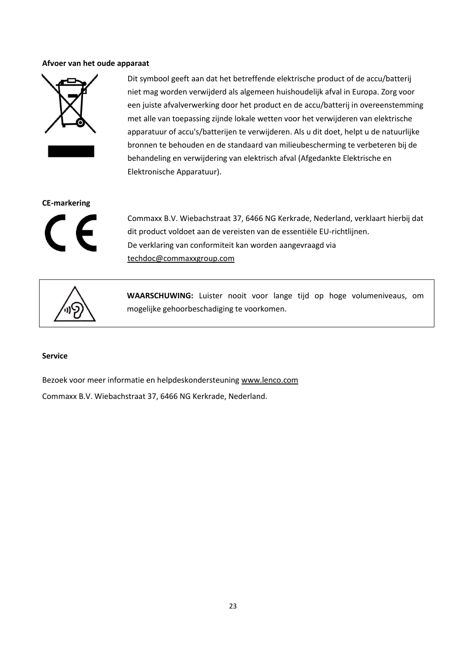#### **Afvoer van het oude apparaat**



Dit symbool geeft aan dat het betreffende elektrische product of de accu/batterij niet mag worden verwijderd als algemeen huishoudelijk afval in Europa. Zorg voor een juiste afvalverwerking door het product en de accu/batterij in overeenstemming met alle van toepassing zijnde lokale wetten voor het verwijderen van elektrische apparatuur of accu's/batterijen te verwijderen. Als u dit doet, helpt u de natuurlijke bronnen te behouden en de standaard van milieubescherming te verbeteren bij de behandeling en verwijdering van elektrisch afval (Afgedankte Elektrische en Elektronische Apparatuur).

#### **CE-markering**



Commaxx B.V. Wiebachstraat 37, 6466 NG Kerkrade, Nederland, verklaart hierbij dat dit product voldoet aan de vereisten van de essentiële EU-richtlijnen. De verklaring van conformiteit kan worden aangevraagd via [techdoc@commaxxgroup.com](mailto:techdoc@commaxxgroup.com)



**WAARSCHUWING:** Luister nooit voor lange tijd op hoge volumeniveaus, om mogelijke gehoorbeschadiging te voorkomen.

#### **Service**

Bezoek voor meer informatie en helpdeskondersteuning [www.lenco.com](http://www.lenco.com/) Commaxx B.V. Wiebachstraat 37, 6466 NG Kerkrade, Nederland.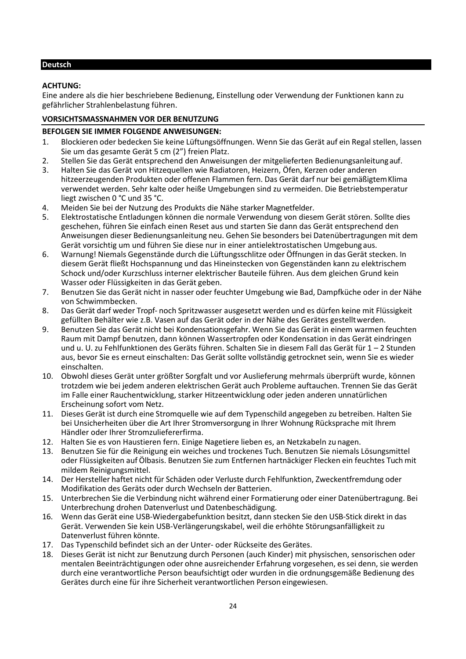# <span id="page-23-0"></span>**Deutsch**

# **ACHTUNG:**

Eine andere als die hier beschriebene Bedienung, Einstellung oder Verwendung der Funktionen kann zu gefährlicher Strahlenbelastung führen.

# **VORSICHTSMASSNAHMEN VOR DER BENUTZUNG**

# **BEFOLGEN SIE IMMER FOLGENDE ANWEISUNGEN:**

- 1. Blockieren oder bedecken Sie keine Lüftungsöffnungen. Wenn Sie das Gerät auf ein Regal stellen, lassen Sie um das gesamte Gerät 5 cm (2") freien Platz.
- 2. Stellen Sie das Gerät entsprechend den Anweisungen der mitgelieferten Bedienungsanleitung auf.<br>3. Halten Sie das Gerät von Hitzequellen wie Radiatoren. Heizern. Öfen. Kerzen oder anderen
- 3. Halten Sie das Gerät von Hitzequellen wie Radiatoren, Heizern, Öfen, Kerzen oder anderen hitzeerzeugenden Produkten oder offenen Flammen fern. Das Gerät darf nur bei gemäßigtemKlima verwendet werden. Sehr kalte oder heiße Umgebungen sind zu vermeiden. Die Betriebstemperatur liegt zwischen 0 °C und 35 °C.
- 4. Meiden Sie bei der Nutzung des Produkts die Nähe starker Magnetfelder.<br>5. Elektrostatische Entladungen können die normale Verwendung von diese
- 5. Elektrostatische Entladungen können die normale Verwendung von diesem Gerät stören. Sollte dies geschehen, führen Sie einfach einen Reset aus und starten Sie dann das Gerät entsprechend den Anweisungen dieser Bedienungsanleitung neu. Gehen Sie besonders bei Datenübertragungen mit dem Gerät vorsichtig um und führen Sie diese nur in einer antielektrostatischen Umgebung aus.
- 6. Warnung! Niemals Gegenstände durch die Lüftungsschlitze oder Öffnungen in das Gerät stecken. In diesem Gerät fließt Hochspannung und das Hineinstecken von Gegenständen kann zu elektrischem Schock und/oder Kurzschluss interner elektrischer Bauteile führen. Aus dem gleichen Grund kein Wasser oder Flüssigkeiten in das Gerät geben.
- 7. Benutzen Sie das Gerät nicht in nasser oder feuchter Umgebung wie Bad, Dampfküche oder in der Nähe von Schwimmbecken.
- 8. Das Gerät darf weder Tropf- noch Spritzwasser ausgesetzt werden und es dürfen keine mit Flüssigkeit gefüllten Behälter wie z.B. Vasen auf das Gerät oder in der Nähe des Gerätes gestelltwerden.
- 9. Benutzen Sie das Gerät nicht bei Kondensationsgefahr. Wenn Sie das Gerät in einem warmen feuchten Raum mit Dampf benutzen, dann können Wassertropfen oder Kondensation in das Gerät eindringen und u. U. zu Fehlfunktionen des Geräts führen. Schalten Sie in diesem Fall das Gerät für 1 – 2 Stunden aus, bevor Sie es erneut einschalten: Das Gerät sollte vollständig getrocknet sein, wenn Sie es wieder einschalten.
- 10. Obwohl dieses Gerät unter größter Sorgfalt und vor Auslieferung mehrmals überprüft wurde, können trotzdem wie bei jedem anderen elektrischen Gerät auch Probleme auftauchen. Trennen Sie das Gerät im Falle einer Rauchentwicklung, starker Hitzeentwicklung oder jeden anderen unnatürlichen Erscheinung sofort vom Netz.
- 11. Dieses Gerät ist durch eine Stromquelle wie auf dem Typenschild angegeben zu betreiben. Halten Sie bei Unsicherheiten über die Art Ihrer Stromversorgung in Ihrer Wohnung Rücksprache mit Ihrem Händler oder Ihrer Stromzuliefererfirma.
- 12. Halten Sie es von Haustieren fern. Einige Nagetiere lieben es, an Netzkabeln zu nagen.
- 13. Benutzen Sie für die Reinigung ein weiches und trockenes Tuch. Benutzen Sie niemals Lösungsmittel oder Flüssigkeiten auf Ölbasis. Benutzen Sie zum Entfernen hartnäckiger Flecken ein feuchtes Tuch mit mildem Reinigungsmittel.
- 14. Der Hersteller haftet nicht für Schäden oder Verluste durch Fehlfunktion, Zweckentfremdung oder Modifikation des Geräts oder durch Wechseln der Batterien.
- 15. Unterbrechen Sie die Verbindung nicht während einer Formatierung oder einer Datenübertragung. Bei Unterbrechung drohen Datenverlust und Datenbeschädigung.
- 16. Wenn das Gerät eine USB-Wiedergabefunktion besitzt, dann stecken Sie den USB-Stick direkt in das Gerät. Verwenden Sie kein USB-Verlängerungskabel, weil die erhöhte Störungsanfälligkeit zu Datenverlust führen könnte.
- 17. Das Typenschild befindet sich an der Unter- oder Rückseite des Gerätes.<br>18. Dieses Gerät ist nicht zur Benutzung durch Personen (auch Kinder) mit n
- 18. Dieses Gerät ist nicht zur Benutzung durch Personen (auch Kinder) mit physischen, sensorischen oder mentalen Beeinträchtigungen oder ohne ausreichender Erfahrung vorgesehen, essei denn, sie werden durch eine verantwortliche Person beaufsichtigt oder wurden in die ordnungsgemäße Bedienung des Gerätes durch eine für ihre Sicherheit verantwortlichen Person eingewiesen.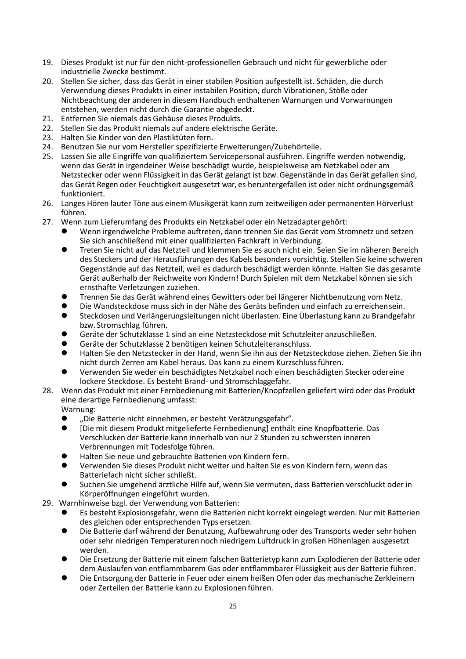- 19. Dieses Produkt ist nur für den nicht-professionellen Gebrauch und nicht für gewerbliche oder industrielle Zwecke bestimmt.
- 20. Stellen Sie sicher, dass das Gerät in einer stabilen Position aufgestellt ist. Schäden, die durch Verwendung dieses Produkts in einer instabilen Position, durch Vibrationen, Stöße oder Nichtbeachtung der anderen in diesem Handbuch enthaltenen Warnungen und Vorwarnungen entstehen, werden nicht durch die Garantie abgedeckt.
- 21. Entfernen Sie niemals das Gehäuse dieses Produkts.
- 22. Stellen Sie das Produkt niemals auf andere elektrische Geräte.
- 23. Halten Sie Kinder von den Plastiktüten fern.
- 24. Benutzen Sie nur vom Hersteller spezifizierte Erweiterungen/Zubehörteile.
- 25. Lassen Sie alle Eingriffe von qualifiziertem Servicepersonal ausführen. Eingriffe werden notwendig, wenn das Gerät in irgendeiner Weise beschädigt wurde, beispielsweise am Netzkabel oder am Netzstecker oder wenn Flüssigkeit in das Gerät gelangt ist bzw. Gegenstände in das Gerät gefallen sind, das Gerät Regen oder Feuchtigkeit ausgesetzt war, es heruntergefallen ist oder nicht ordnungsgemäß funktioniert.
- 26. Langes Hören lauter Töne aus einem Musikgerät kann zum zeitweiligen oder permanenten Hörverlust führen.
- 27. Wenn zum Lieferumfang des Produkts ein Netzkabel oder ein Netzadapter gehört:
	- ⚫ Wenn irgendwelche Probleme auftreten, dann trennen Sie das Gerät vom Stromnetz und setzen Sie sich anschließend mit einer qualifizierten Fachkraft in Verbindung.
	- ⚫ Treten Sie nicht auf das Netzteil und klemmen Sie es auch nicht ein. Seien Sie im näheren Bereich des Steckers und der Herausführungen des Kabels besonders vorsichtig. Stellen Sie keine schweren Gegenstände auf das Netzteil, weil es dadurch beschädigt werden könnte. Halten Sie das gesamte Gerät außerhalb der Reichweite von Kindern! Durch Spielen mit dem Netzkabel können sie sich ernsthafte Verletzungen zuziehen.
	- Trennen Sie das Gerät während eines Gewitters oder bei längerer Nichtbenutzung vom Netz.
	- ⚫ Die Wandsteckdose muss sich in der Nähe des Geräts befinden und einfach zu erreichensein.
	- Steckdosen und Verlängerungsleitungen nicht überlasten. Eine Überlastung kann zu Brandgefahr bzw. Stromschlag führen.
	- ⚫ Geräte der Schutzklasse 1 sind an eine Netzsteckdose mit Schutzleiter anzuschließen.
	- ⚫ Geräte der Schutzklasse 2 benötigen keinen Schutzleiteranschluss.
	- ⚫ Halten Sie den Netzstecker in der Hand, wenn Sie ihn aus der Netzsteckdose ziehen. Ziehen Sie ihn nicht durch Zerren am Kabel heraus. Das kann zu einem Kurzschlussführen.
	- ⚫ Verwenden Sie weder ein beschädigtes Netzkabel noch einen beschädigten Stecker odereine lockere Steckdose. Es besteht Brand- und Stromschlaggefahr.
- 28. Wenn das Produkt mit einer Fernbedienung mit Batterien/Knopfzellen geliefert wird oder das Produkt eine derartige Fernbedienung umfasst:

Warnung:

- "Die Batterie nicht einnehmen, er besteht Verätzungsgefahr".
- [Die mit diesem Produkt mitgelieferte Fernbedienung] enthält eine Knopfbatterie. Das Verschlucken der Batterie kann innerhalb von nur 2 Stunden zu schwersten inneren Verbrennungen mit Todesfolge führen.
- ⚫ Halten Sie neue und gebrauchte Batterien von Kindern fern.
- ⚫ Verwenden Sie dieses Produkt nicht weiter und halten Sie es von Kindern fern, wenn das Batteriefach nicht sicher schließt.
- ⚫ Suchen Sie umgehend ärztliche Hilfe auf, wenn Sie vermuten, dass Batterien verschluckt oder in Körperöffnungen eingeführt wurden.
- 29. Warnhinweise bzgl. der Verwendung von Batterien:
	- ⚫ Es besteht Explosionsgefahr, wenn die Batterien nicht korrekt eingelegt werden. Nur mit Batterien des gleichen oder entsprechenden Typs ersetzen.
	- ⚫ Die Batterie darf während der Benutzung, Aufbewahrung oder des Transports weder sehr hohen oder sehr niedrigen Temperaturen noch niedrigem Luftdruck in großen Höhenlagen ausgesetzt werden.
	- ⚫ Die Ersetzung der Batterie mit einem falschen Batterietyp kann zum Explodieren der Batterie oder dem Auslaufen von entflammbarem Gas oder entflammbarer Flüssigkeit aus der Batterie führen.
	- ⚫ Die Entsorgung der Batterie in Feuer oder einem heißen Ofen oder das mechanische Zerkleinern oder Zerteilen der Batterie kann zu Explosionen führen.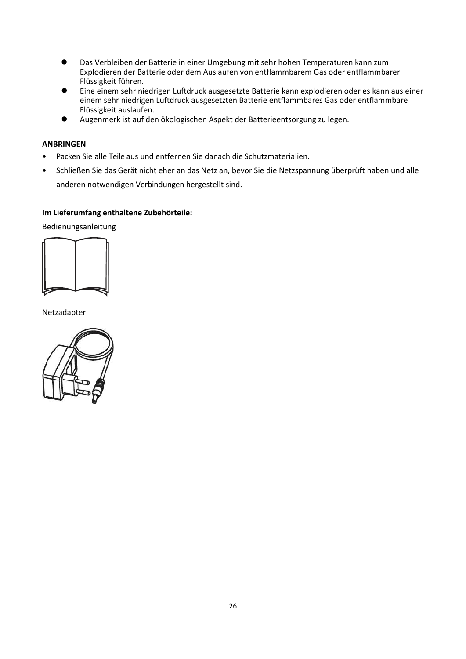- ⚫ Das Verbleiben der Batterie in einer Umgebung mit sehr hohen Temperaturen kann zum Explodieren der Batterie oder dem Auslaufen von entflammbarem Gas oder entflammbarer Flüssigkeit führen.
- ⚫ Eine einem sehr niedrigen Luftdruck ausgesetzte Batterie kann explodieren oder es kann aus einer einem sehr niedrigen Luftdruck ausgesetzten Batterie entflammbares Gas oder entflammbare Flüssigkeit auslaufen.
- ⚫ Augenmerk ist auf den ökologischen Aspekt der Batterieentsorgung zu legen.

# **ANBRINGEN**

- Packen Sie alle Teile aus und entfernen Sie danach die Schutzmaterialien.
- Schließen Sie das Gerät nicht eher an das Netz an, bevor Sie die Netzspannung überprüft haben und alle anderen notwendigen Verbindungen hergestellt sind.

# **Im Lieferumfang enthaltene Zubehörteile:**

Bedienungsanleitung



Netzadapter

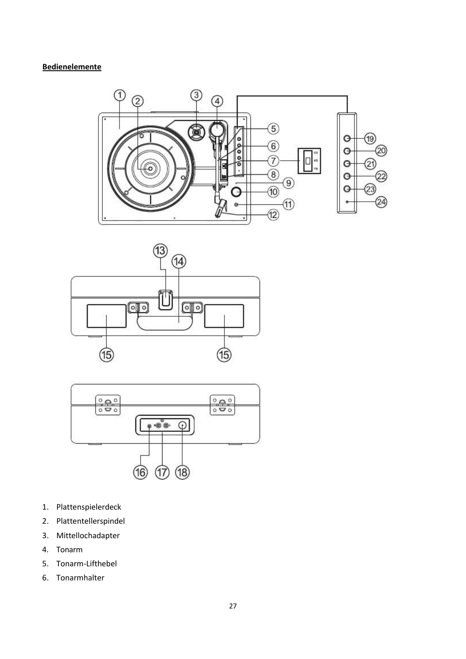# **Bedienelemente**







- 1. Plattenspielerdeck
- 2. Plattentellerspindel
- 3. Mittellochadapter
- 4. Tonarm
- 5. Tonarm-Lifthebel
- 6. Tonarmhalter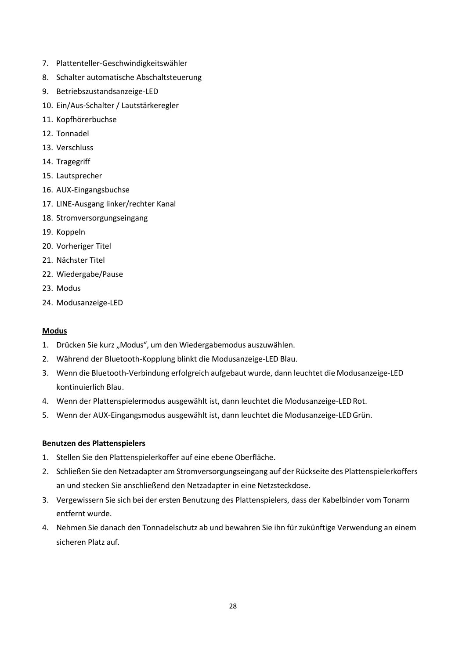- 7. Plattenteller-Geschwindigkeitswähler
- 8. Schalter automatische Abschaltsteuerung
- 9. Betriebszustandsanzeige-LED
- 10. Ein/Aus-Schalter / Lautstärkeregler
- 11. Kopfhörerbuchse
- 12. Tonnadel
- 13. Verschluss
- 14. Tragegriff
- 15. Lautsprecher
- 16. AUX-Eingangsbuchse
- 17. LINE-Ausgang linker/rechter Kanal
- 18. Stromversorgungseingang
- 19. Koppeln
- 20. Vorheriger Titel
- 21. Nächster Titel
- 22. Wiedergabe/Pause
- 23. Modus
- 24. Modusanzeige-LED

# **Modus**

- 1. Drücken Sie kurz "Modus", um den Wiedergabemodus auszuwählen.
- 2. Während der Bluetooth-Kopplung blinkt die Modusanzeige-LED Blau.
- 3. Wenn die Bluetooth-Verbindung erfolgreich aufgebaut wurde, dann leuchtet die Modusanzeige-LED kontinuierlich Blau.
- 4. Wenn der Plattenspielermodus ausgewählt ist, dann leuchtet die Modusanzeige-LEDRot.
- 5. Wenn der AUX-Eingangsmodus ausgewählt ist, dann leuchtet die Modusanzeige-LEDGrün.

# **Benutzen des Plattenspielers**

- 1. Stellen Sie den Plattenspielerkoffer auf eine ebene Oberfläche.
- 2. Schließen Sie den Netzadapter am Stromversorgungseingang auf der Rückseite des Plattenspielerkoffers an und stecken Sie anschließend den Netzadapter in eine Netzsteckdose.
- 3. Vergewissern Sie sich bei der ersten Benutzung des Plattenspielers, dass der Kabelbinder vom Tonarm entfernt wurde.
- 4. Nehmen Sie danach den Tonnadelschutz ab und bewahren Sie ihn für zukünftige Verwendung an einem sicheren Platz auf.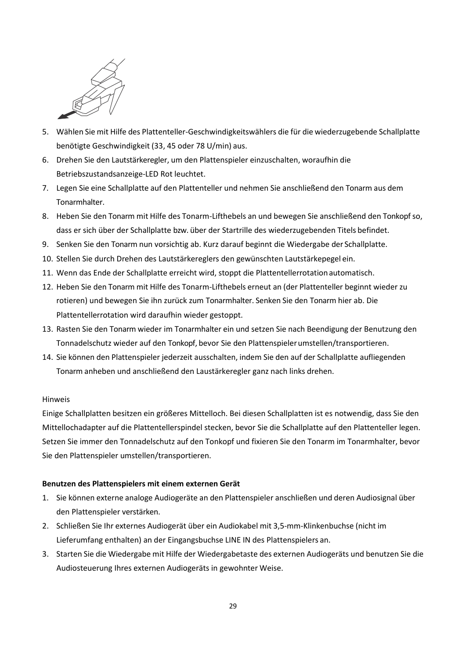

- 5. Wählen Sie mit Hilfe des Plattenteller-Geschwindigkeitswählers die für die wiederzugebende Schallplatte benötigte Geschwindigkeit (33, 45 oder 78 U/min) aus.
- 6. Drehen Sie den Lautstärkeregler, um den Plattenspieler einzuschalten, woraufhin die Betriebszustandsanzeige-LED Rot leuchtet.
- 7. Legen Sie eine Schallplatte auf den Plattenteller und nehmen Sie anschließend den Tonarm aus dem Tonarmhalter.
- 8. Heben Sie den Tonarm mit Hilfe des Tonarm-Lifthebels an und bewegen Sie anschließend den Tonkopfso, dass er sich über der Schallplatte bzw. über der Startrille des wiederzugebenden Titels befindet.
- 9. Senken Sie den Tonarm nun vorsichtig ab. Kurz darauf beginnt die Wiedergabe der Schallplatte.
- 10. Stellen Sie durch Drehen des Lautstärkereglers den gewünschten Lautstärkepegel ein.
- 11. Wenn das Ende der Schallplatte erreicht wird, stoppt die Plattentellerrotationautomatisch.
- 12. Heben Sie den Tonarm mit Hilfe des Tonarm-Lifthebels erneut an (der Plattenteller beginnt wieder zu rotieren) und bewegen Sie ihn zurück zum Tonarmhalter. Senken Sie den Tonarm hier ab. Die Plattentellerrotation wird daraufhin wieder gestoppt.
- 13. Rasten Sie den Tonarm wieder im Tonarmhalter ein und setzen Sie nach Beendigung der Benutzung den Tonnadelschutz wieder auf den Tonkopf, bevor Sie den Plattenspielerumstellen/transportieren.
- 14. Sie können den Plattenspieler jederzeit ausschalten, indem Sie den auf der Schallplatte aufliegenden Tonarm anheben und anschließend den Laustärkeregler ganz nach links drehen.

# Hinweis

Einige Schallplatten besitzen ein größeres Mittelloch. Bei diesen Schallplatten ist es notwendig, dass Sie den Mittellochadapter auf die Plattentellerspindel stecken, bevor Sie die Schallplatte auf den Plattenteller legen. Setzen Sie immer den Tonnadelschutz auf den Tonkopf und fixieren Sie den Tonarm im Tonarmhalter, bevor Sie den Plattenspieler umstellen/transportieren.

# **Benutzen des Plattenspielers mit einem externen Gerät**

- 1. Sie können externe analoge Audiogeräte an den Plattenspieler anschließen und deren Audiosignal über den Plattenspieler verstärken.
- 2. Schließen Sie Ihr externes Audiogerät über ein Audiokabel mit 3,5-mm-Klinkenbuchse (nicht im Lieferumfang enthalten) an der Eingangsbuchse LINE IN des Plattenspielers an.
- 3. Starten Sie die Wiedergabe mit Hilfe der Wiedergabetaste des externen Audiogeräts und benutzen Sie die Audiosteuerung Ihres externen Audiogeräts in gewohnter Weise.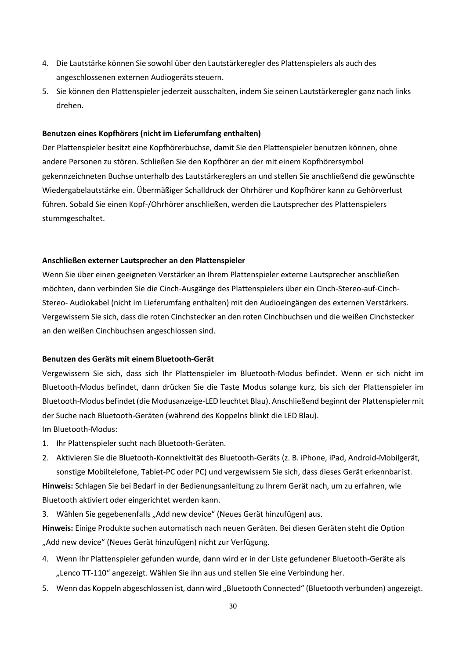- 4. Die Lautstärke können Sie sowohl über den Lautstärkeregler des Plattenspielers als auch des angeschlossenen externen Audiogeräts steuern.
- 5. Sie können den Plattenspieler jederzeit ausschalten, indem Sie seinen Lautstärkeregler ganz nach links drehen.

## **Benutzen eines Kopfhörers (nicht im Lieferumfang enthalten)**

Der Plattenspieler besitzt eine Kopfhörerbuchse, damit Sie den Plattenspieler benutzen können, ohne andere Personen zu stören. Schließen Sie den Kopfhörer an der mit einem Kopfhörersymbol gekennzeichneten Buchse unterhalb des Lautstärkereglers an und stellen Sie anschließend die gewünschte Wiedergabelautstärke ein. Übermäßiger Schalldruck der Ohrhörer und Kopfhörer kann zu Gehörverlust führen. Sobald Sie einen Kopf-/Ohrhörer anschließen, werden die Lautsprecher des Plattenspielers stummgeschaltet.

#### **Anschließen externer Lautsprecher an den Plattenspieler**

Wenn Sie über einen geeigneten Verstärker an Ihrem Plattenspieler externe Lautsprecher anschließen möchten, dann verbinden Sie die Cinch-Ausgänge des Plattenspielers über ein Cinch-Stereo-auf-Cinch-Stereo- Audiokabel (nicht im Lieferumfang enthalten) mit den Audioeingängen des externen Verstärkers. Vergewissern Sie sich, dass die roten Cinchstecker an den roten Cinchbuchsen und die weißen Cinchstecker an den weißen Cinchbuchsen angeschlossen sind.

## **Benutzen des Geräts mit einem Bluetooth-Gerät**

Vergewissern Sie sich, dass sich Ihr Plattenspieler im Bluetooth-Modus befindet. Wenn er sich nicht im Bluetooth-Modus befindet, dann drücken Sie die Taste Modus solange kurz, bis sich der Plattenspieler im Bluetooth-Modus befindet (die Modusanzeige-LED leuchtet Blau). Anschließend beginnt der Plattenspieler mit der Suche nach Bluetooth-Geräten (während des Koppelns blinkt die LED Blau). Im Bluetooth-Modus:

- 1. Ihr Plattenspieler sucht nach Bluetooth-Geräten.
- 2. Aktivieren Sie die Bluetooth-Konnektivität des Bluetooth-Geräts (z. B. iPhone, iPad, Android-Mobilgerät, sonstige Mobiltelefone, Tablet-PC oder PC) und vergewissern Sie sich, dass dieses Gerät erkennbarist.

**Hinweis:** Schlagen Sie bei Bedarf in der Bedienungsanleitung zu Ihrem Gerät nach, um zu erfahren, wie Bluetooth aktiviert oder eingerichtet werden kann.

3. Wählen Sie gegebenenfalls "Add new device" (Neues Gerät hinzufügen) aus.

**Hinweis:** Einige Produkte suchen automatisch nach neuen Geräten. Bei diesen Geräten steht die Option "Add new device" (Neues Gerät hinzufügen) nicht zur Verfügung.

- 4. Wenn Ihr Plattenspieler gefunden wurde, dann wird er in der Liste gefundener Bluetooth-Geräte als "Lenco TT-110" angezeigt. Wählen Sie ihn aus und stellen Sie eine Verbindung her.
- 5. Wenn das Koppeln abgeschlossen ist, dann wird "Bluetooth Connected" (Bluetooth verbunden) angezeigt.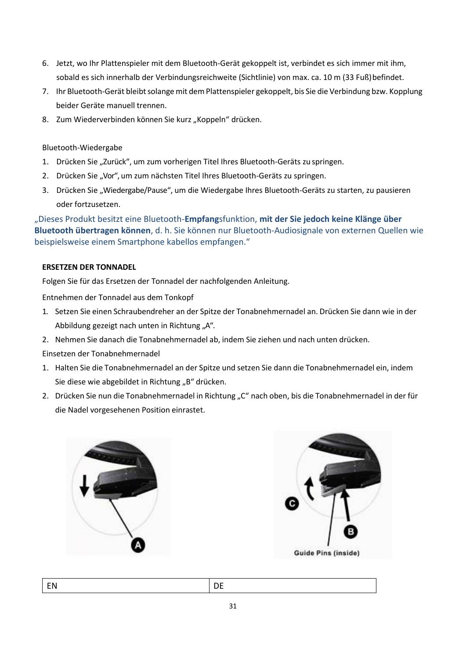- 6. Jetzt, wo Ihr Plattenspieler mit dem Bluetooth-Gerät gekoppelt ist, verbindet es sich immer mit ihm, sobald es sich innerhalb der Verbindungsreichweite (Sichtlinie) von max. ca. 10 m (33 Fuß)befindet.
- 7. Ihr Bluetooth-Gerät bleibt solange mit dem Plattenspieler gekoppelt, bis Sie die Verbindung bzw. Kopplung beider Geräte manuell trennen.
- 8. Zum Wiederverbinden können Sie kurz "Koppeln" drücken.

# Bluetooth-Wiedergabe

- 1. Drücken Sie "Zurück", um zum vorherigen Titel Ihres Bluetooth-Geräts zu springen.
- 2. Drücken Sie "Vor", um zum nächsten Titel Ihres Bluetooth-Geräts zu springen.
- 3. Drücken Sie "Wiedergabe/Pause", um die Wiedergabe Ihres Bluetooth-Geräts zu starten, zu pausieren oder fortzusetzen.

"Dieses Produkt besitzt eine Bluetooth-**Empfang**sfunktion, **mit der Sie jedoch keine Klänge über Bluetooth übertragen können**, d. h. Sie können nur Bluetooth-Audiosignale von externen Quellen wie beispielsweise einem Smartphone kabellos empfangen."

# **ERSETZEN DER TONNADEL**

Folgen Sie für das Ersetzen der Tonnadel der nachfolgenden Anleitung.

Entnehmen der Tonnadel aus dem Tonkopf

- 1. Setzen Sie einen Schraubendreher an der Spitze der Tonabnehmernadel an. Drücken Sie dann wie in der Abbildung gezeigt nach unten in Richtung "A".
- 2. Nehmen Sie danach die Tonabnehmernadel ab, indem Sie ziehen und nach unten drücken.

Einsetzen der Tonabnehmernadel

- 1. Halten Sie die Tonabnehmernadel an der Spitze und setzen Sie dann die Tonabnehmernadel ein, indem Sie diese wie abgebildet in Richtung "B" drücken.
- 2. Drücken Sie nun die Tonabnehmernadel in Richtung "C" nach oben, bis die Tonabnehmernadel in der für die Nadel vorgesehenen Position einrastet.



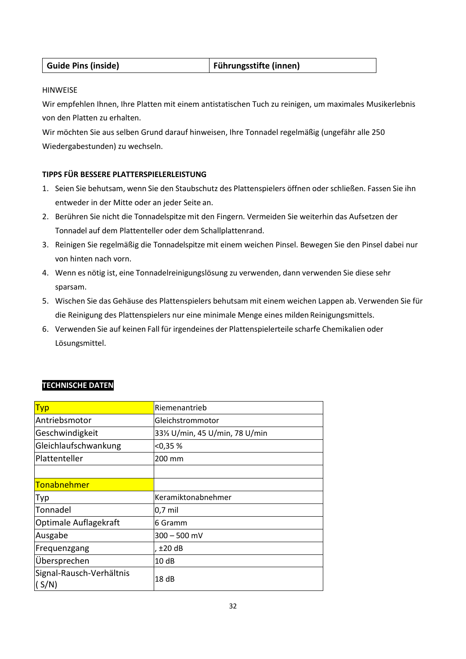| <b>Guide Pins (inside)</b> | Führungsstifte (innen) |
|----------------------------|------------------------|
|----------------------------|------------------------|

# HINWEISE

Wir empfehlen Ihnen, Ihre Platten mit einem antistatischen Tuch zu reinigen, um maximales Musikerlebnis von den Platten zu erhalten.

Wir möchten Sie aus selben Grund darauf hinweisen, Ihre Tonnadel regelmäßig (ungefähr alle 250 Wiedergabestunden) zu wechseln.

# **TIPPS FÜR BESSERE PLATTERSPIELERLEISTUNG**

- 1. Seien Sie behutsam, wenn Sie den Staubschutz des Plattenspielers öffnen oder schließen. Fassen Sie ihn entweder in der Mitte oder an jeder Seite an.
- 2. Berühren Sie nicht die Tonnadelspitze mit den Fingern. Vermeiden Sie weiterhin das Aufsetzen der Tonnadel auf dem Plattenteller oder dem Schallplattenrand.
- 3. Reinigen Sie regelmäßig die Tonnadelspitze mit einem weichen Pinsel. Bewegen Sie den Pinsel dabei nur von hinten nach vorn.
- 4. Wenn es nötig ist, eine Tonnadelreinigungslösung zu verwenden, dann verwenden Sie diese sehr sparsam.
- 5. Wischen Sie das Gehäuse des Plattenspielers behutsam mit einem weichen Lappen ab. Verwenden Sie für die Reinigung des Plattenspielers nur eine minimale Menge eines milden Reinigungsmittels.
- 6. Verwenden Sie auf keinen Fall für irgendeines der Plattenspielerteile scharfe Chemikalien oder Lösungsmittel.

| <b>Typ</b>                        | Riemenantrieb                               |
|-----------------------------------|---------------------------------------------|
| Antriebsmotor                     | Gleichstrommotor                            |
| Geschwindigkeit                   | 331/ <sub>3</sub> U/min, 45 U/min, 78 U/min |
| Gleichlaufschwankung              | < 0.35 %                                    |
| Plattenteller                     | 200 mm                                      |
|                                   |                                             |
| <b>Tonabnehmer</b>                |                                             |
| Typ                               | Keramiktonabnehmer                          |
| Tonnadel                          | $0,7$ mil                                   |
| Optimale Auflagekraft             | 6 Gramm                                     |
| Ausgabe                           | $300 - 500$ mV                              |
| Frequenzgang                      | $±20$ dB                                    |
| Übersprechen                      | 10dB                                        |
| Signal-Rausch-Verhältnis<br>(S/N) | 18 <sub>dB</sub>                            |

# **TECHNISCHE DATEN**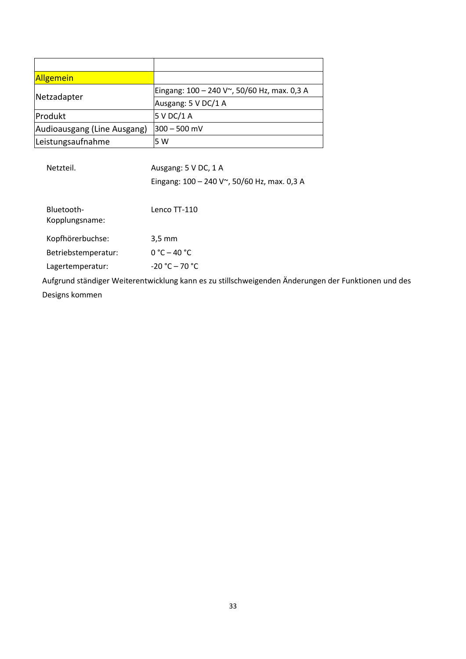| <b>Allgemein</b>            |                                             |
|-----------------------------|---------------------------------------------|
| Netzadapter                 | Eingang: 100 - 240 V~, 50/60 Hz, max. 0,3 A |
|                             | Ausgang: 5 V DC/1 A                         |
| Produkt                     | 5 V DC/1 A                                  |
| Audioausgang (Line Ausgang) | $300 - 500$ mV                              |
| Leistungsaufnahme           | 5 W                                         |

| Netzteil.                    | Ausgang: 5 V DC, 1 A                                                                                |
|------------------------------|-----------------------------------------------------------------------------------------------------|
|                              | Eingang: 100 - 240 V~, 50/60 Hz, max. 0,3 A                                                         |
|                              |                                                                                                     |
| Bluetooth-<br>Kopplungsname: | Lenco TT-110                                                                                        |
| Kopfhörerbuchse:             | $3.5 \text{ mm}$                                                                                    |
| Betriebstemperatur:          | $0 °C - 40 °C$                                                                                      |
| Lagertemperatur:             | $-20 °C - 70 °C$                                                                                    |
|                              | Aufgrund ständiger Weiterentwicklung kann es zu stillschweigenden Änderungen der Funktionen und des |

Designs kommen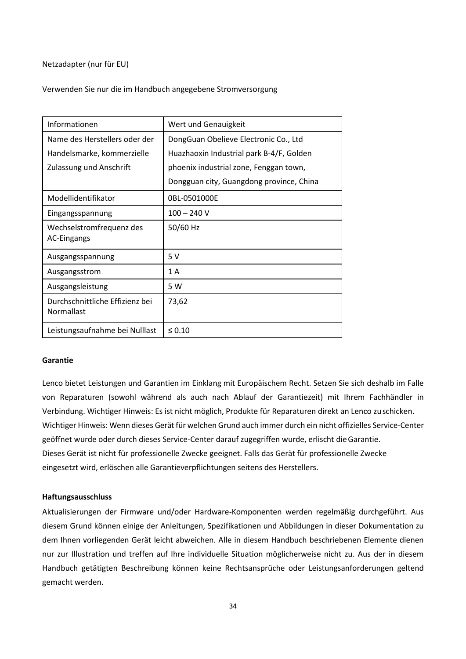Netzadapter (nur für EU)

Verwenden Sie nur die im Handbuch angegebene Stromversorgung

| Informationen                                  | Wert und Genauigkeit                     |
|------------------------------------------------|------------------------------------------|
| Name des Herstellers oder der                  | DongGuan Obelieve Electronic Co., Ltd    |
| Handelsmarke, kommerzielle                     | Huazhaoxin Industrial park B-4/F, Golden |
| <b>Zulassung und Anschrift</b>                 | phoenix industrial zone, Fenggan town,   |
|                                                | Dongguan city, Guangdong province, China |
| Modellidentifikator                            | 0BL-0501000E                             |
| Eingangsspannung                               | $100 - 240$ V                            |
| Wechselstromfrequenz des<br><b>AC-Eingangs</b> | 50/60 Hz                                 |
| Ausgangsspannung                               | 5V                                       |
| Ausgangsstrom                                  | 1A                                       |
| Ausgangsleistung                               | 5 W                                      |
| Durchschnittliche Effizienz bei<br>Normallast  | 73,62                                    |
| Leistungsaufnahme bei Nulllast                 | $\leq 0.10$                              |

#### **Garantie**

Lenco bietet Leistungen und Garantien im Einklang mit Europäischem Recht. Setzen Sie sich deshalb im Falle von Reparaturen (sowohl während als auch nach Ablauf der Garantiezeit) mit Ihrem Fachhändler in Verbindung. Wichtiger Hinweis: Es ist nicht möglich, Produkte für Reparaturen direkt an Lenco zuschicken. Wichtiger Hinweis: Wenn dieses Gerät für welchen Grund auch immer durch ein nicht offizielles Service-Center geöffnet wurde oder durch dieses Service-Center darauf zugegriffen wurde, erlischt dieGarantie. Dieses Gerät ist nicht für professionelle Zwecke geeignet. Falls das Gerät für professionelle Zwecke eingesetzt wird, erlöschen alle Garantieverpflichtungen seitens des Herstellers.

#### **Haftungsausschluss**

Aktualisierungen der Firmware und/oder Hardware-Komponenten werden regelmäßig durchgeführt. Aus diesem Grund können einige der Anleitungen, Spezifikationen und Abbildungen in dieser Dokumentation zu dem Ihnen vorliegenden Gerät leicht abweichen. Alle in diesem Handbuch beschriebenen Elemente dienen nur zur Illustration und treffen auf Ihre individuelle Situation möglicherweise nicht zu. Aus der in diesem Handbuch getätigten Beschreibung können keine Rechtsansprüche oder Leistungsanforderungen geltend gemacht werden.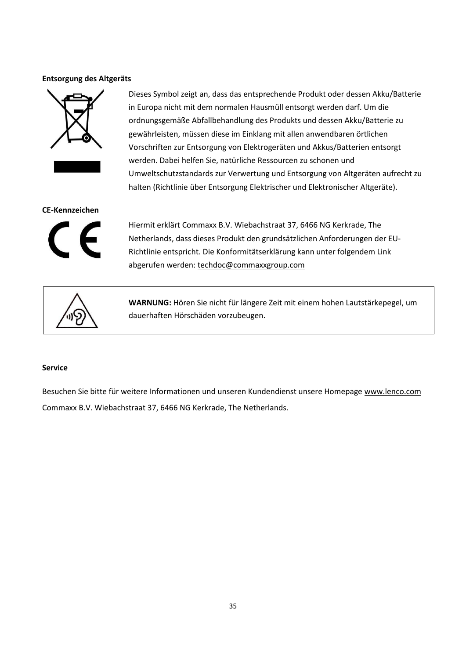## **Entsorgung des Altgeräts**



Dieses Symbol zeigt an, dass das entsprechende Produkt oder dessen Akku/Batterie in Europa nicht mit dem normalen Hausmüll entsorgt werden darf. Um die ordnungsgemäße Abfallbehandlung des Produkts und dessen Akku/Batterie zu gewährleisten, müssen diese im Einklang mit allen anwendbaren örtlichen Vorschriften zur Entsorgung von Elektrogeräten und Akkus/Batterien entsorgt werden. Dabei helfen Sie, natürliche Ressourcen zu schonen und Umweltschutzstandards zur Verwertung und Entsorgung von Altgeräten aufrecht zu halten (Richtlinie über Entsorgung Elektrischer und Elektronischer Altgeräte).

#### **CE-Kennzeichen**



Hiermit erklärt Commaxx B.V. Wiebachstraat 37, 6466 NG Kerkrade, The Netherlands, dass dieses Produkt den grundsätzlichen Anforderungen der EU-Richtlinie entspricht. Die Konformitätserklärung kann unter folgendem Link abgerufen werden[: techdoc@commaxxgroup.com](mailto:techdoc@commaxxgroup.com)



**WARNUNG:** Hören Sie nicht für längere Zeit mit einem hohen Lautstärkepegel, um dauerhaften Hörschäden vorzubeugen.

#### **Service**

Besuchen Sie bitte für weitere Informationen und unseren Kundendienst unsere Homepag[e www.lenco.com](http://www.lenco.com/) Commaxx B.V. Wiebachstraat 37, 6466 NG Kerkrade, The Netherlands.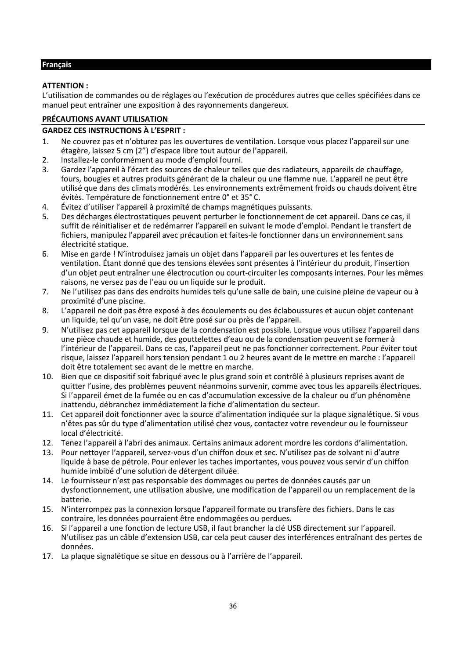# <span id="page-35-0"></span>**Français**

## **ATTENTION :**

L'utilisation de commandes ou de réglages ou l'exécution de procédures autres que celles spécifiées dans ce manuel peut entraîner une exposition à des rayonnements dangereux.

# **PRÉCAUTIONS AVANT UTILISATION**

## **GARDEZ CES INSTRUCTIONS À L'ESPRIT :**

- 1. Ne couvrez pas et n'obturez pas les ouvertures de ventilation. Lorsque vous placez l'appareil sur une étagère, laissez 5 cm (2") d'espace libre tout autour de l'appareil.
- 2. Installez-le conformément au mode d'emploi fourni.<br>3. Gardez l'appareil à l'écart des sources de chaleur telle
- Gardez l'appareil à l'écart des sources de chaleur telles que des radiateurs, appareils de chauffage, fours, bougies et autres produits générant de la chaleur ou une flamme nue. L'appareil ne peut être utilisé que dans des climats modérés. Les environnements extrêmement froids ou chauds doivent être évités. Température de fonctionnement entre 0° et 35° C.
- 4. Évitez d'utiliser l'appareil à proximité de champs magnétiques puissants.
- 5. Des décharges électrostatiques peuvent perturber le fonctionnement de cet appareil. Dans ce cas, il suffit de réinitialiser et de redémarrer l'appareil en suivant le mode d'emploi. Pendant le transfert de fichiers, manipulez l'appareil avec précaution et faites-le fonctionner dans un environnement sans électricité statique.
- 6. Mise en garde ! N'introduisez jamais un objet dans l'appareil par les ouvertures et les fentes de ventilation. Étant donné que des tensions élevées sont présentes à l'intérieur du produit, l'insertion d'un objet peut entraîner une électrocution ou court-circuiter les composants internes. Pour les mêmes raisons, ne versez pas de l'eau ou un liquide sur le produit.
- 7. Ne l'utilisez pas dans des endroits humides tels qu'une salle de bain, une cuisine pleine de vapeur ou à proximité d'une piscine.
- 8. L'appareil ne doit pas être exposé à des écoulements ou des éclaboussures et aucun objet contenant un liquide, tel qu'un vase, ne doit être posé sur ou près de l'appareil.
- 9. N'utilisez pas cet appareil lorsque de la condensation est possible. Lorsque vous utilisez l'appareil dans une pièce chaude et humide, des gouttelettes d'eau ou de la condensation peuvent se former à l'intérieur de l'appareil. Dans ce cas, l'appareil peut ne pas fonctionner correctement. Pour éviter tout risque, laissez l'appareil hors tension pendant 1 ou 2 heures avant de le mettre en marche : l'appareil doit être totalement sec avant de le mettre en marche.
- 10. Bien que ce dispositif soit fabriqué avec le plus grand soin et contrôlé à plusieurs reprises avant de quitter l'usine, des problèmes peuvent néanmoins survenir, comme avec tous les appareils électriques. Si l'appareil émet de la fumée ou en cas d'accumulation excessive de la chaleur ou d'un phénomène inattendu, débranchez immédiatement la fiche d'alimentation du secteur.
- 11. Cet appareil doit fonctionner avec la source d'alimentation indiquée sur la plaque signalétique. Si vous n'êtes pas sûr du type d'alimentation utilisé chez vous, contactez votre revendeur ou le fournisseur local d'électricité.
- 12. Tenez l'appareil à l'abri des animaux. Certains animaux adorent mordre les cordons d'alimentation.
- 13. Pour nettoyer l'appareil, servez-vous d'un chiffon doux et sec. N'utilisez pas de solvant ni d'autre liquide à base de pétrole. Pour enlever les taches importantes, vous pouvez vous servir d'un chiffon humide imbibé d'une solution de détergent diluée.
- 14. Le fournisseur n'est pas responsable des dommages ou pertes de données causés par un dysfonctionnement, une utilisation abusive, une modification de l'appareil ou un remplacement de la batterie.
- 15. N'interrompez pas la connexion lorsque l'appareil formate ou transfère des fichiers. Dans le cas contraire, les données pourraient être endommagées ou perdues.
- 16. Si l'appareil a une fonction de lecture USB, il faut brancher la clé USB directement sur l'appareil. N'utilisez pas un câble d'extension USB, car cela peut causer des interférences entraînant des pertes de données.
- 17. La plaque signalétique se situe en dessous ou à l'arrière de l'appareil.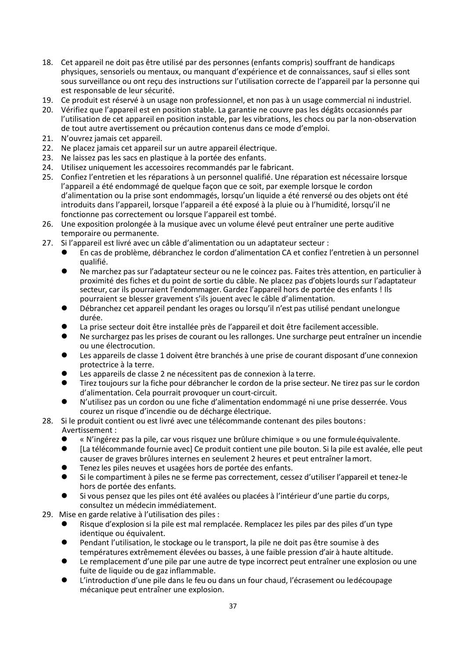- 18. Cet appareil ne doit pas être utilisé par des personnes (enfants compris) souffrant de handicaps physiques, sensoriels ou mentaux, ou manquant d'expérience et de connaissances, sauf si elles sont sous surveillance ou ont reçu des instructions sur l'utilisation correcte de l'appareil par la personne qui est responsable de leur sécurité.
- 19. Ce produit est réservé à un usage non professionnel, et non pas à un usage commercial ni industriel.
- 20. Vérifiez que l'appareil est en position stable. La garantie ne couvre pas les dégâts occasionnés par l'utilisation de cet appareil en position instable, par les vibrations, les chocs ou par la non-observation de tout autre avertissement ou précaution contenus dans ce mode d'emploi.
- 21. N'ouvrez jamais cet appareil.
- 22. Ne placez jamais cet appareil sur un autre appareil électrique.
- 23. Ne laissez pas les sacs en plastique à la portée des enfants.
- 24. Utilisez uniquement les accessoires recommandés par le fabricant.
- 25. Confiez l'entretien et les réparations à un personnel qualifié. Une réparation est nécessaire lorsque l'appareil a été endommagé de quelque façon que ce soit, par exemple lorsque le cordon d'alimentation ou la prise sont endommagés, lorsqu'un liquide a été renversé ou des objets ont été introduits dans l'appareil, lorsque l'appareil a été exposé à la pluie ou à l'humidité, lorsqu'il ne fonctionne pas correctement ou lorsque l'appareil est tombé.
- 26. Une exposition prolongée à la musique avec un volume élevé peut entraîner une perte auditive temporaire ou permanente.
- 27. Si l'appareil est livré avec un câble d'alimentation ou un adaptateur secteur :
	- ⚫ En cas de problème, débranchez le cordon d'alimentation CA et confiez l'entretien à un personnel qualifié.
	- ⚫ Ne marchez pas sur l'adaptateur secteur ou ne le coincez pas. Faites très attention, en particulier à proximité des fiches et du point de sortie du câble. Ne placez pas d'objets lourds sur l'adaptateur secteur, car ils pourraient l'endommager. Gardez l'appareil hors de portée des enfants ! Ils pourraient se blesser gravement s'ils jouent avec le câble d'alimentation.
	- ⚫ Débranchez cet appareil pendant les orages ou lorsqu'il n'est pas utilisé pendant unelongue durée.
	- ⚫ La prise secteur doit être installée près de l'appareil et doit être facilement accessible.
	- ⚫ Ne surchargez pasles prises de courant ou les rallonges. Une surcharge peut entraîner un incendie ou une électrocution.
	- Les appareils de classe 1 doivent être branchés à une prise de courant disposant d'une connexion protectrice à la terre.
	- Les appareils de classe 2 ne nécessitent pas de connexion à la terre.
	- ⚫ Tirez toujours sur la fiche pour débrancher le cordon de la prise secteur. Ne tirez pas sur le cordon d'alimentation. Cela pourrait provoquer un court-circuit.
	- ⚫ N'utilisez pas un cordon ou une fiche d'alimentation endommagé ni une prise desserrée. Vous courez un risque d'incendie ou de décharge électrique.
- 28. Si le produit contient ou est livré avec une télécommande contenant des piles boutons: Avertissement :
	- « N'ingérez pas la pile, car vous risquez une brûlure chimique » ou une formule équivalente.<br>● Il a télécommande fournie avecl Ce produit contient une pile bouton. Si la pile est avalée, elle
	- [La télécommande fournie avec] Ce produit contient une pile bouton. Si la pile est avalée, elle peut causer de graves brûlures internes en seulement 2 heures et peut entraîner lamort.
	- ⚫ Tenez les piles neuves et usagées hors de portée des enfants.
	- ⚫ Si le compartiment à piles ne se ferme pas correctement, cessez d'utiliser l'appareil et tenez-le hors de portée des enfants.
	- ⚫ Si vous pensez que les piles ont été avalées ou placées à l'intérieur d'une partie du corps, consultez un médecin immédiatement.
- 29. Mise en garde relative à l'utilisation des piles :
	- ⚫ Risque d'explosion si la pile est mal remplacée. Remplacez les piles par des piles d'un type identique ou équivalent.
	- Pendant l'utilisation, le stockage ou le transport, la pile ne doit pas être soumise à des températures extrêmement élevées ou basses, à une faible pression d'air à haute altitude.
	- Le remplacement d'une pile par une autre de type incorrect peut entraîner une explosion ou une fuite de liquide ou de gaz inflammable.
	- ⚫ L'introduction d'une pile dans le feu ou dans un four chaud, l'écrasement ou ledécoupage mécanique peut entraîner une explosion.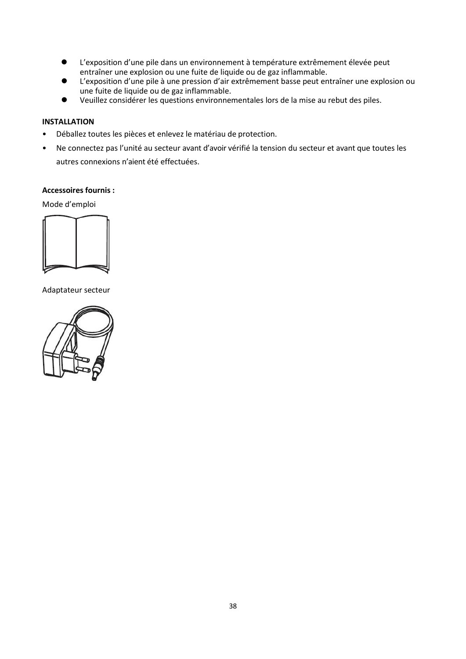- ⚫ L'exposition d'une pile dans un environnement à température extrêmement élevée peut entraîner une explosion ou une fuite de liquide ou de gaz inflammable.
- L'exposition d'une pile à une pression d'air extrêmement basse peut entraîner une explosion ou une fuite de liquide ou de gaz inflammable.
- ⚫ Veuillez considérer les questions environnementales lors de la mise au rebut des piles.

# **INSTALLATION**

- Déballez toutes les pièces et enlevez le matériau de protection.
- Ne connectez pas l'unité au secteur avant d'avoir vérifié la tension du secteur et avant que toutes les autres connexions n'aient été effectuées.

# **Accessoires fournis :**

Mode d'emploi



Adaptateur secteur

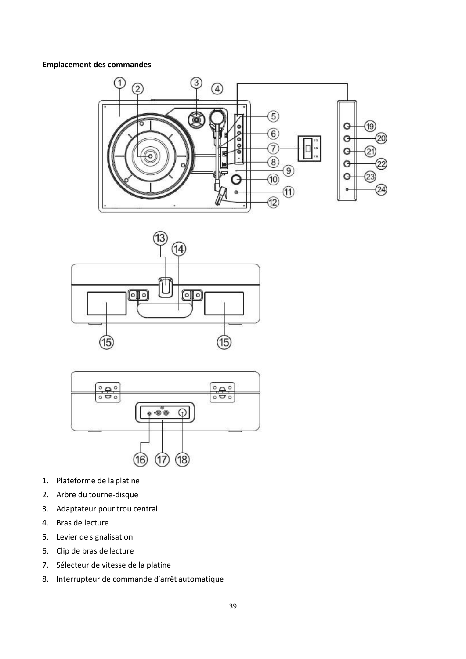# **Emplacement des commandes**







- 1. Plateforme de la platine
- 2. Arbre du tourne-disque
- 3. Adaptateur pour trou central
- 4. Bras de lecture
- 5. Levier de signalisation
- 6. Clip de bras de lecture
- 7. Sélecteur de vitesse de la platine
- 8. Interrupteur de commande d'arrêt automatique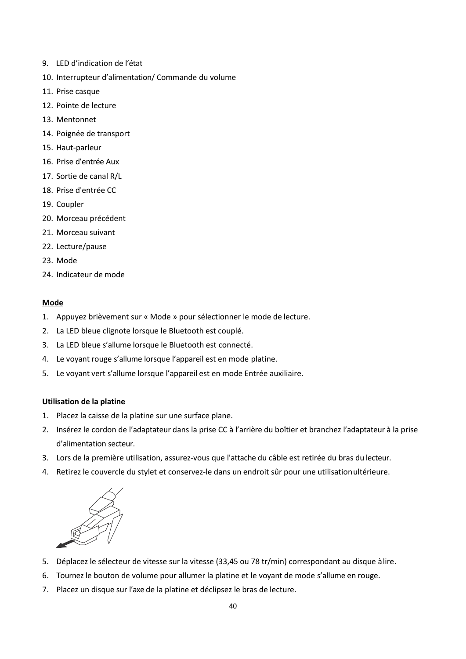- 9. LED d'indication de l'état
- 10. Interrupteur d'alimentation/ Commande du volume
- 11. Prise casque
- 12. Pointe de lecture
- 13. Mentonnet
- 14. Poignée de transport
- 15. Haut-parleur
- 16. Prise d'entrée Aux
- 17. Sortie de canal R/L
- 18. Prise d'entrée CC
- 19. Coupler
- 20. Morceau précédent
- 21. Morceau suivant
- 22. Lecture/pause
- 23. Mode
- 24. Indicateur de mode

#### **Mode**

- 1. Appuyez brièvement sur « Mode » pour sélectionner le mode de lecture.
- 2. La LED bleue clignote lorsque le Bluetooth est couplé.
- 3. La LED bleue s'allume lorsque le Bluetooth est connecté.
- 4. Le voyant rouge s'allume lorsque l'appareil est en mode platine.
- 5. Le voyant vert s'allume lorsque l'appareil est en mode Entrée auxiliaire.

#### **Utilisation de la platine**

- 1. Placez la caisse de la platine sur une surface plane.
- 2. Insérez le cordon de l'adaptateur dans la prise CC à l'arrière du boîtier et branchez l'adaptateur à la prise d'alimentation secteur.
- 3. Lors de la première utilisation, assurez-vous que l'attache du câble est retirée du bras du lecteur.
- 4. Retirez le couvercle du stylet et conservez-le dans un endroit sûr pour une utilisationultérieure.



- 5. Déplacez le sélecteur de vitesse sur la vitesse (33,45 ou 78 tr/min) correspondant au disque àlire.
- 6. Tournez le bouton de volume pour allumer la platine et le voyant de mode s'allume en rouge.
- 7. Placez un disque sur l'axe de la platine et déclipsez le bras de lecture.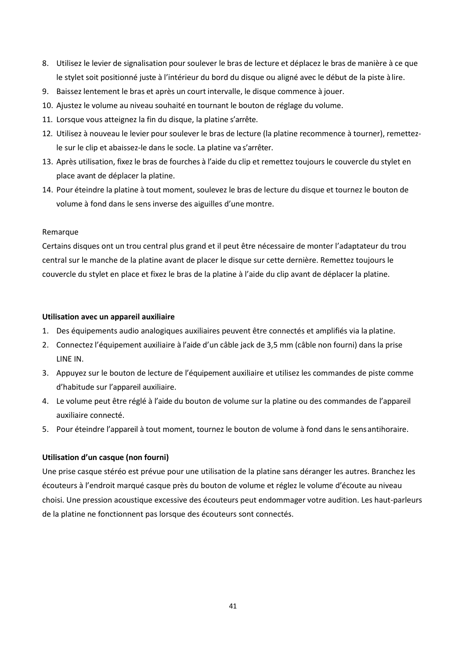- 8. Utilisez le levier de signalisation pour soulever le bras de lecture et déplacez le bras de manière à ce que le stylet soit positionné juste à l'intérieur du bord du disque ou aligné avec le début de la piste àlire.
- 9. Baissez lentement le bras et après un court intervalle, le disque commence à jouer.
- 10. Ajustez le volume au niveau souhaité en tournant le bouton de réglage du volume.
- 11. Lorsque vous atteignez la fin du disque, la platine s'arrête.
- 12. Utilisez à nouveau le levier pour soulever le bras de lecture (la platine recommence à tourner), remettezle sur le clip et abaissez-le dans le socle. La platine va s'arrêter.
- 13. Après utilisation, fixez le bras de fourches à l'aide du clip et remettez toujours le couvercle du stylet en place avant de déplacer la platine.
- 14. Pour éteindre la platine à tout moment, soulevez le bras de lecture du disque et tournez le bouton de volume à fond dans le sens inverse des aiguilles d'une montre.

# Remarque

Certains disques ont un trou central plus grand et il peut être nécessaire de monter l'adaptateur du trou central sur le manche de la platine avant de placer le disque sur cette dernière. Remettez toujours le couvercle du stylet en place et fixez le bras de la platine à l'aide du clip avant de déplacer la platine.

#### **Utilisation avec un appareil auxiliaire**

- 1. Des équipements audio analogiques auxiliaires peuvent être connectés et amplifiés via la platine.
- 2. Connectez l'équipement auxiliaire à l'aide d'un câble jack de 3,5 mm (câble non fourni) dans la prise LINE IN.
- 3. Appuyez sur le bouton de lecture de l'équipement auxiliaire et utilisez les commandes de piste comme d'habitude sur l'appareil auxiliaire.
- 4. Le volume peut être réglé à l'aide du bouton de volume sur la platine ou des commandes de l'appareil auxiliaire connecté.
- 5. Pour éteindre l'appareil à tout moment, tournez le bouton de volume à fond dans le sensantihoraire.

# **Utilisation d'un casque (non fourni)**

Une prise casque stéréo est prévue pour une utilisation de la platine sans déranger les autres. Branchez les écouteurs à l'endroit marqué casque près du bouton de volume et réglez le volume d'écoute au niveau choisi. Une pression acoustique excessive des écouteurs peut endommager votre audition. Les haut-parleurs de la platine ne fonctionnent pas lorsque des écouteurs sont connectés.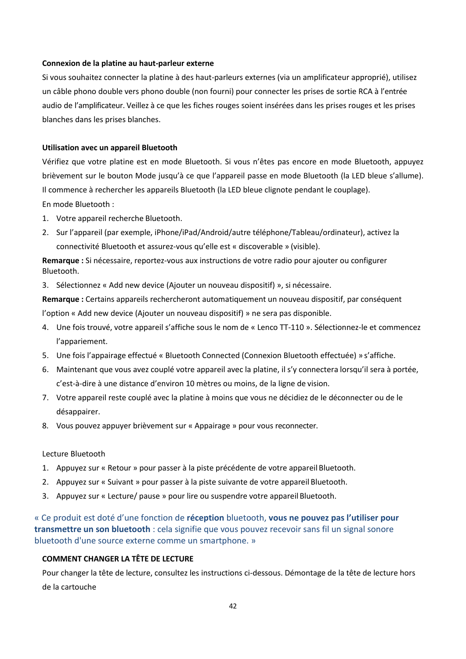## **Connexion de la platine au haut-parleur externe**

Si vous souhaitez connecter la platine à des haut-parleurs externes (via un amplificateur approprié), utilisez un câble phono double vers phono double (non fourni) pour connecter les prises de sortie RCA à l'entrée audio de l'amplificateur. Veillez à ce que les fiches rouges soient insérées dans les prises rouges et les prises blanches dans les prises blanches.

#### **Utilisation avec un appareil Bluetooth**

Vérifiez que votre platine est en mode Bluetooth. Si vous n'êtes pas encore en mode Bluetooth, appuyez brièvement sur le bouton Mode jusqu'à ce que l'appareil passe en mode Bluetooth (la LED bleue s'allume). Il commence à rechercher les appareils Bluetooth (la LED bleue clignote pendant le couplage).

En mode Bluetooth :

- 1. Votre appareil recherche Bluetooth.
- 2. Sur l'appareil (par exemple, iPhone/iPad/Android/autre téléphone/Tableau/ordinateur), activez la connectivité Bluetooth et assurez-vous qu'elle est « discoverable » (visible).

**Remarque :** Si nécessaire, reportez-vous aux instructions de votre radio pour ajouter ou configurer Bluetooth.

3. Sélectionnez « Add new device (Ajouter un nouveau dispositif) », si nécessaire.

**Remarque :** Certains appareils rechercheront automatiquement un nouveau dispositif, par conséquent l'option « Add new device (Ajouter un nouveau dispositif) » ne sera pas disponible.

- 4. Une fois trouvé, votre appareil s'affiche sous le nom de « Lenco TT-110 ». Sélectionnez-le et commencez l'appariement.
- 5. Une fois l'appairage effectué « Bluetooth Connected (Connexion Bluetooth effectuée) » s'affiche.
- 6. Maintenant que vous avez couplé votre appareil avec la platine, il s'y connectera lorsqu'il sera à portée, c'est-à-dire à une distance d'environ 10 mètres ou moins, de la ligne de vision.
- 7. Votre appareil reste couplé avec la platine à moins que vous ne décidiez de le déconnecter ou de le désappairer.
- 8. Vous pouvez appuyer brièvement sur « Appairage » pour vous reconnecter.

#### Lecture Bluetooth

- 1. Appuyez sur « Retour » pour passer à la piste précédente de votre appareil Bluetooth.
- 2. Appuyez sur « Suivant » pour passer à la piste suivante de votre appareil Bluetooth.
- 3. Appuyez sur « Lecture/ pause » pour lire ou suspendre votre appareil Bluetooth.

« Ce produit est doté d'une fonction de **réception** bluetooth, **vous ne pouvez pas l'utiliser pour transmettre un son bluetooth** : cela signifie que vous pouvez recevoir sans fil un signal sonore bluetooth d'une source externe comme un smartphone. »

#### **COMMENT CHANGER LA TÊTE DE LECTURE**

Pour changer la tête de lecture, consultez les instructions ci-dessous. Démontage de la tête de lecture hors de la cartouche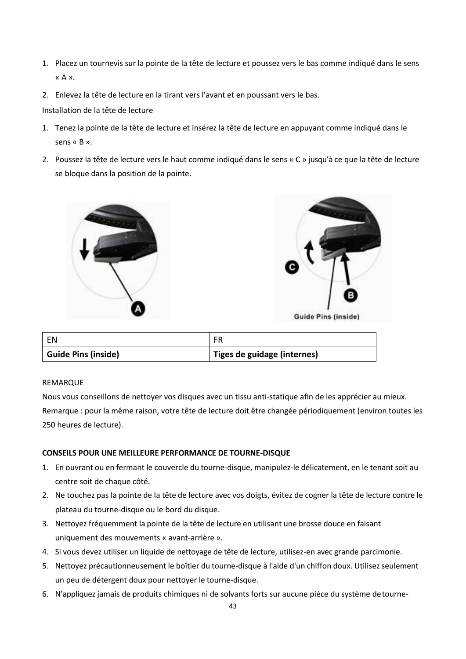- 1. Placez un tournevis sur la pointe de la tête de lecture et poussez vers le bas comme indiqué dans le sens « A ».
- 2. Enlevez la tête de lecture en la tirant vers l'avant et en poussant vers le bas.

# Installation de la tête de lecture

- 1. Tenez la pointe de la tête de lecture et insérez la tête de lecture en appuyant comme indiqué dans le sens « B ».
- 2. Poussez la tête de lecture vers le haut comme indiqué dans le sens « C » jusqu'à ce que la tête de lecture se bloque dans la position de la pointe.





| EN                         | FR                          |
|----------------------------|-----------------------------|
| <b>Guide Pins (inside)</b> | Tiges de guidage (internes) |

# REMARQUE

Nous vous conseillons de nettoyer vos disques avec un tissu anti-statique afin de les apprécier au mieux. Remarque : pour la même raison, votre tête de lecture doit être changée périodiquement (environ toutes les 250 heures de lecture).

# **CONSEILS POUR UNE MEILLEURE PERFORMANCE DE TOURNE-DISQUE**

- 1. En ouvrant ou en fermant le couvercle du tourne-disque, manipulez-le délicatement, en le tenant soit au centre soit de chaque côté.
- 2. Ne touchez pas la pointe de la tête de lecture avec vos doigts, évitez de cogner la tête de lecture contre le plateau du tourne-disque ou le bord du disque.
- 3. Nettoyez fréquemment la pointe de la tête de lecture en utilisant une brosse douce en faisant uniquement des mouvements « avant-arrière ».
- 4. Si vous devez utiliser un liquide de nettoyage de tête de lecture, utilisez-en avec grande parcimonie.
- 5. Nettoyez précautionneusement le boîtier du tourne-disque à l'aide d'un chiffon doux. Utilisez seulement un peu de détergent doux pour nettoyer le tourne-disque.
- 6. N'appliquez jamais de produits chimiques ni de solvants forts sur aucune pièce du système detourne-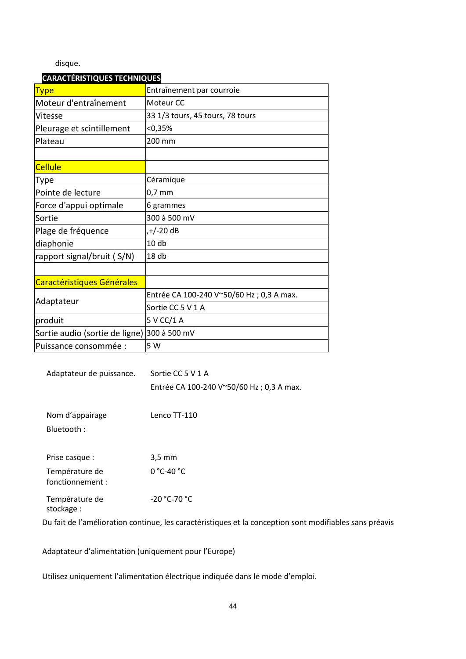disque.

# **CARACTÉRISTIQUES TECHNIQUES**

| <b>Type</b>                                 | Entraînement par courroie                |
|---------------------------------------------|------------------------------------------|
| Moteur d'entraînement                       | Moteur <sub>CC</sub>                     |
| Vitesse                                     | 33 1/3 tours, 45 tours, 78 tours         |
| Pleurage et scintillement                   | < 0,35%                                  |
| Plateau                                     | 200 mm                                   |
|                                             |                                          |
| <b>Cellule</b>                              |                                          |
| Type                                        | Céramique                                |
| Pointe de lecture                           | $0,7$ mm                                 |
| Force d'appui optimale                      | 6 grammes                                |
| Sortie                                      | 300 à 500 mV                             |
| Plage de fréquence                          | ,+/-20 dB                                |
| diaphonie                                   | 10 <sub>db</sub>                         |
| rapport signal/bruit (S/N)                  | 18 <sub>db</sub>                         |
|                                             |                                          |
| Caractéristiques Générales                  |                                          |
|                                             | Entrée CA 100-240 V~50/60 Hz; 0,3 A max. |
| Adaptateur                                  | Sortie CC 5 V 1 A                        |
| produit                                     | 5 V CC/1 A                               |
| Sortie audio (sortie de ligne) 300 à 500 mV |                                          |
| Puissance consommée :                       | 5 W                                      |

| Adaptateur de puissance.           | Sortie CC 5 V 1 A<br>Entrée CA 100-240 V~50/60 Hz; 0,3 A max.                                           |
|------------------------------------|---------------------------------------------------------------------------------------------------------|
| Nom d'appairage<br>Bluetooth:      | Lenco TT-110                                                                                            |
| Prise casque :                     | $3.5 \text{ mm}$                                                                                        |
| Température de<br>fonctionnement : | $0 °C-40 °C$                                                                                            |
| Température de<br>stockage:        | $-20 °C-70 °C$                                                                                          |
|                                    | Du fait de l'amélioration continue, les caractéristiques et la conception sont modifiables sans préavis |

Adaptateur d'alimentation (uniquement pour l'Europe)

Utilisez uniquement l'alimentation électrique indiquée dans le mode d'emploi.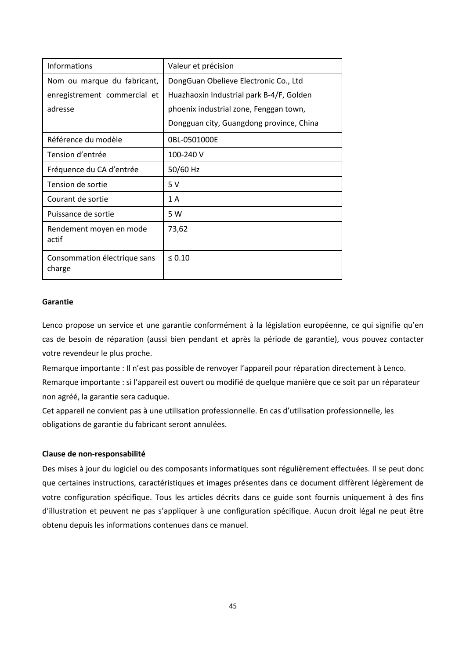| Informations                           | Valeur et précision                      |
|----------------------------------------|------------------------------------------|
| Nom ou marque du fabricant,            | DongGuan Obelieve Electronic Co., Ltd    |
| enregistrement commercial et           | Huazhaoxin Industrial park B-4/F, Golden |
| adresse                                | phoenix industrial zone, Fenggan town,   |
|                                        | Dongguan city, Guangdong province, China |
| Référence du modèle                    | 0BL-0501000E                             |
| Tension d'entrée                       | 100-240 V                                |
| Fréquence du CA d'entrée               | 50/60 Hz                                 |
| Tension de sortie                      | 5V                                       |
| Courant de sortie                      | 1 A                                      |
| Puissance de sortie                    | 5 W                                      |
| Rendement moyen en mode<br>actif       | 73,62                                    |
| Consommation électrique sans<br>charge | $\leq 0.10$                              |

#### **Garantie**

Lenco propose un service et une garantie conformément à la législation européenne, ce qui signifie qu'en cas de besoin de réparation (aussi bien pendant et après la période de garantie), vous pouvez contacter votre revendeur le plus proche.

Remarque importante : Il n'est pas possible de renvoyer l'appareil pour réparation directement à Lenco. Remarque importante : si l'appareil est ouvert ou modifié de quelque manière que ce soit par un réparateur non agréé, la garantie sera caduque.

Cet appareil ne convient pas à une utilisation professionnelle. En cas d'utilisation professionnelle, les obligations de garantie du fabricant seront annulées.

#### **Clause de non-responsabilité**

Des mises à jour du logiciel ou des composants informatiques sont régulièrement effectuées. Il se peut donc que certaines instructions, caractéristiques et images présentes dans ce document diffèrent légèrement de votre configuration spécifique. Tous les articles décrits dans ce guide sont fournis uniquement à des fins d'illustration et peuvent ne pas s'appliquer à une configuration spécifique. Aucun droit légal ne peut être obtenu depuis les informations contenues dans ce manuel.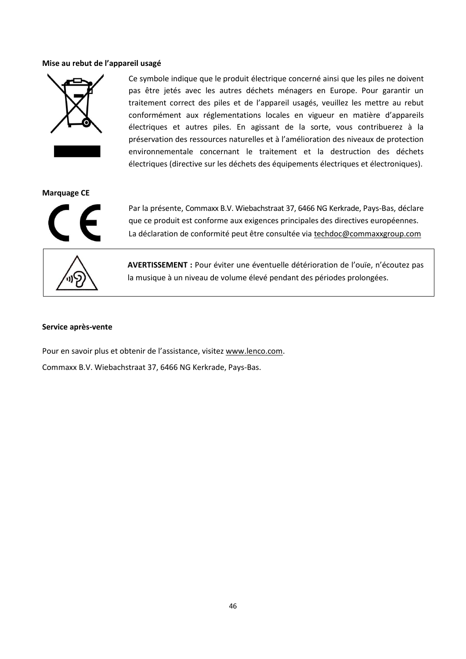#### **Mise au rebut de l'appareil usagé**



Ce symbole indique que le produit électrique concerné ainsi que les piles ne doivent pas être jetés avec les autres déchets ménagers en Europe. Pour garantir un traitement correct des piles et de l'appareil usagés, veuillez les mettre au rebut conformément aux réglementations locales en vigueur en matière d'appareils électriques et autres piles. En agissant de la sorte, vous contribuerez à la préservation des ressources naturelles et à l'amélioration des niveaux de protection environnementale concernant le traitement et la destruction des déchets électriques (directive sur les déchets des équipements électriques et électroniques).

**Marquage CE**



Par la présente, Commaxx B.V. Wiebachstraat 37, 6466 NG Kerkrade, Pays-Bas, déclare que ce produit est conforme aux exigences principales des directives européennes. La déclaration de conformité peut être consultée via [techdoc@commaxxgroup.com](mailto:techdoc@commaxxgroup.com)



**AVERTISSEMENT :** Pour éviter une éventuelle détérioration de l'ouïe, n'écoutez pas la musique à un niveau de volume élevé pendant des périodes prolongées.

#### **Service après-vente**

Pour en savoir plus et obtenir de l'assistance, visitez [www.lenco.com.](http://www.lenco.com/) Commaxx B.V. Wiebachstraat 37, 6466 NG Kerkrade, Pays-Bas.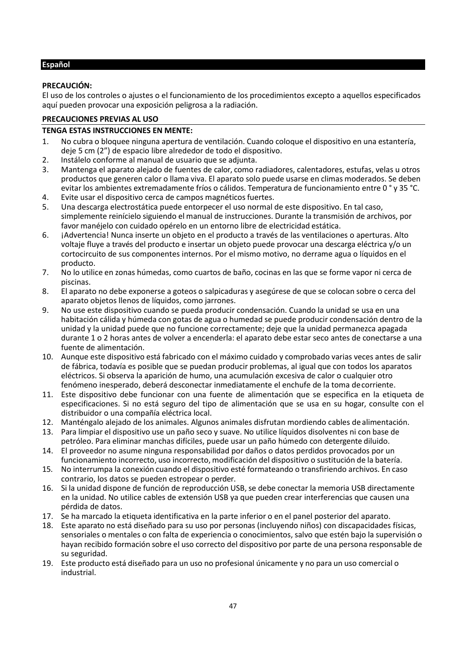# <span id="page-46-0"></span>**Español**

# **PRECAUCIÓN:**

El uso de los controles o ajustes o el funcionamiento de los procedimientos excepto a aquellos especificados aquí pueden provocar una exposición peligrosa a la radiación.

# **PRECAUCIONES PREVIAS AL USO**

#### **TENGA ESTAS INSTRUCCIONES EN MENTE:**

- 1. No cubra o bloquee ninguna apertura de ventilación. Cuando coloque el dispositivo en una estantería, deje 5 cm (2") de espacio libre alrededor de todo el dispositivo.
- 2. Instálelo conforme al manual de usuario que se adjunta.
- 3. Mantenga el aparato alejado de fuentes de calor, como radiadores, calentadores, estufas, velas u otros productos que generen calor o llama viva. El aparato solo puede usarse en climas moderados. Se deben evitar los ambientes extremadamente fríos o cálidos. Temperatura de funcionamiento entre 0 ° y 35 °C.
- 4. Evite usar el dispositivo cerca de campos magnéticos fuertes.
- 5. Una descarga electrostática puede entorpecer el uso normal de este dispositivo. En tal caso, simplemente reinícielo siguiendo el manual de instrucciones. Durante la transmisión de archivos, por favor manéjelo con cuidado opérelo en un entorno libre de electricidad estática.
- 6. ¡Advertencia! Nunca inserte un objeto en el producto a través de las ventilaciones o aperturas. Alto voltaje fluye a través del producto e insertar un objeto puede provocar una descarga eléctrica y/o un cortocircuito de sus componentes internos. Por el mismo motivo, no derrame agua o líquidos en el producto.
- 7. No lo utilice en zonas húmedas, como cuartos de baño, cocinas en las que se forme vapor ni cerca de piscinas.
- 8. El aparato no debe exponerse a goteos o salpicaduras y asegúrese de que se colocan sobre o cerca del aparato objetos llenos de líquidos, como jarrones.
- 9. No use este dispositivo cuando se pueda producir condensación. Cuando la unidad se usa en una habitación cálida y húmeda con gotas de agua o humedad se puede producir condensación dentro de la unidad y la unidad puede que no funcione correctamente; deje que la unidad permanezca apagada durante 1 o 2 horas antes de volver a encenderla: el aparato debe estar seco antes de conectarse a una fuente de alimentación.
- 10. Aunque este dispositivo está fabricado con el máximo cuidado y comprobado varias veces antes de salir de fábrica, todavía es posible que se puedan producir problemas, al igual que con todos los aparatos eléctricos. Si observa la aparición de humo, una acumulación excesiva de calor o cualquier otro fenómeno inesperado, deberá desconectar inmediatamente el enchufe de la toma decorriente.
- 11. Este dispositivo debe funcionar con una fuente de alimentación que se especifica en la etiqueta de especificaciones. Si no está seguro del tipo de alimentación que se usa en su hogar, consulte con el distribuidor o una compañía eléctrica local.
- 12. Manténgalo alejado de los animales. Algunos animales disfrutan mordiendo cables de alimentación.
- 13. Para limpiar el dispositivo use un paño seco y suave. No utilice líquidos disolventes ni con base de petróleo. Para eliminar manchas difíciles, puede usar un paño húmedo con detergente diluido.
- 14. El proveedor no asume ninguna responsabilidad por daños o datos perdidos provocados por un funcionamiento incorrecto, uso incorrecto, modificación del dispositivo o sustitución de la batería.
- 15. No interrumpa la conexión cuando el dispositivo esté formateando o transfiriendo archivos. En caso contrario, los datos se pueden estropear o perder.
- 16. Si la unidad dispone de función de reproducción USB, se debe conectar la memoria USB directamente en la unidad. No utilice cables de extensión USB ya que pueden crear interferencias que causen una pérdida de datos.
- 17. Se ha marcado la etiqueta identificativa en la parte inferior o en el panel posterior del aparato.
- 18. Este aparato no está diseñado para su uso por personas (incluyendo niños) con discapacidades físicas, sensoriales o mentales o con falta de experiencia o conocimientos, salvo que estén bajo la supervisión o hayan recibido formación sobre el uso correcto del dispositivo por parte de una persona responsable de su seguridad.
- 19. Este producto está diseñado para un uso no profesional únicamente y no para un uso comercial o industrial.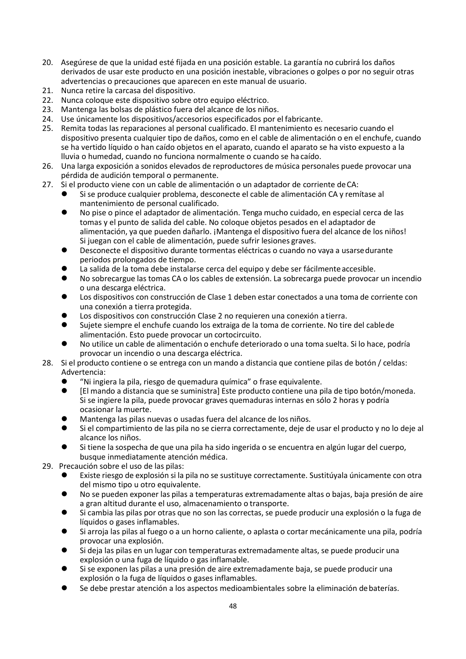- 20. Asegúrese de que la unidad esté fijada en una posición estable. La garantía no cubrirá los daños derivados de usar este producto en una posición inestable, vibraciones o golpes o por no seguir otras advertencias o precauciones que aparecen en este manual de usuario.
- 21. Nunca retire la carcasa del dispositivo.
- 22. Nunca coloque este dispositivo sobre otro equipo eléctrico.<br>23. Mantenga las bolsas de plástico fuera del alcance de los niño
- Mantenga las bolsas de plástico fuera del alcance de los niños.
- 24. Use únicamente los dispositivos/accesorios especificados por el fabricante.
- 25. Remita todas las reparaciones al personal cualificado. El mantenimiento es necesario cuando el dispositivo presenta cualquier tipo de daños, como en el cable de alimentación o en el enchufe, cuando se ha vertido líquido o han caído objetos en el aparato, cuando el aparato se ha visto expuesto a la lluvia o humedad, cuando no funciona normalmente o cuando se ha caído.
- 26. Una larga exposición a sonidos elevados de reproductores de música personales puede provocar una pérdida de audición temporal o permanente.
- 27. Si el producto viene con un cable de alimentación o un adaptador de corriente de CA:<br>Si se produce cualquier problema, desconecte el cable de alimentación CA y remi
	- Si se produce cualquier problema, desconecte el cable de alimentación CA y remítase al mantenimiento de personal cualificado.
	- ⚫ No pise o pince el adaptador de alimentación. Tenga mucho cuidado, en especial cerca de las tomas y el punto de salida del cable. No coloque objetos pesados en el adaptador de alimentación, ya que pueden dañarlo. ¡Mantenga el dispositivo fuera del alcance de los niños! Si juegan con el cable de alimentación, puede sufrir lesiones graves.
	- ⚫ Desconecte el dispositivo durante tormentas eléctricas o cuando no vaya a usarsedurante periodos prolongados de tiempo.
	- La salida de la toma debe instalarse cerca del equipo y debe ser fácilmente accesible.
	- ⚫ No sobrecargue las tomas CA o los cables de extensión. La sobrecarga puede provocar un incendio o una descarga eléctrica.
	- ⚫ Los dispositivos con construcción de Clase 1 deben estar conectados a una toma de corriente con una conexión a tierra protegida.
	- Los dispositivos con construcción Clase 2 no requieren una conexión a tierra.
	- ⚫ Sujete siempre el enchufe cuando los extraiga de la toma de corriente. No tire del cablede alimentación. Esto puede provocar un cortocircuito.
	- ⚫ No utilice un cable de alimentación o enchufe deteriorado o una toma suelta. Si lo hace, podría provocar un incendio o una descarga eléctrica.
- 28. Si el producto contiene o se entrega con un mando a distancia que contiene pilas de botón / celdas: Advertencia:
	- imitio "Ni ingiera la pila, riesgo de quemadura química" o frase equivalente.<br>● inflimando a distancia que se suministral Este producto contiene una n
	- ⚫ [El mando a distancia que se suministra] Este producto contiene una pila de tipo botón/moneda. Si se ingiere la pila, puede provocar graves quemaduras internas en sólo 2 horas y podría ocasionar la muerte.
	- ⚫ Mantenga las pilas nuevas o usadas fuera del alcance de los niños.
	- Si el compartimiento de las pila no se cierra correctamente, deje de usar el producto y no lo deje al alcance los niños.
	- ⚫ Si tiene la sospecha de que una pila ha sido ingerida o se encuentra en algún lugar del cuerpo, busque inmediatamente atención médica.

29. Precaución sobre el uso de las pilas:

- ⚫ Existe riesgo de explosión si la pila no se sustituye correctamente. Sustitúyala únicamente con otra del mismo tipo u otro equivalente.
- ⚫ No se pueden exponer las pilas a temperaturas extremadamente altas o bajas, baja presión de aire a gran altitud durante el uso, almacenamiento o transporte.
- ⚫ Si cambia las pilas por otras que no son las correctas, se puede producir una explosión o la fuga de líquidos o gases inflamables.
- Si arroja las pilas al fuego o a un horno caliente, o aplasta o cortar mecánicamente una pila, podría provocar una explosión.
- Si deja las pilas en un lugar con temperaturas extremadamente altas, se puede producir una explosión o una fuga de líquido o gas inflamable.
- ⚫ Si se exponen las pilas a una presión de aire extremadamente baja, se puede producir una explosión o la fuga de líquidos o gases inflamables.
- Se debe prestar atención a los aspectos medioambientales sobre la eliminación de baterías.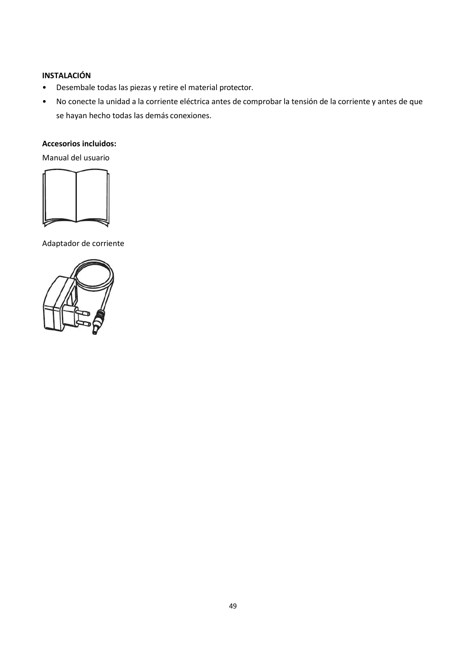# **INSTALACIÓN**

- Desembale todas las piezas y retire el material protector.
- No conecte la unidad a la corriente eléctrica antes de comprobar la tensión de la corriente y antes de que se hayan hecho todas las demás conexiones.

# **Accesorios incluidos:**

Manual del usuario



Adaptador de corriente

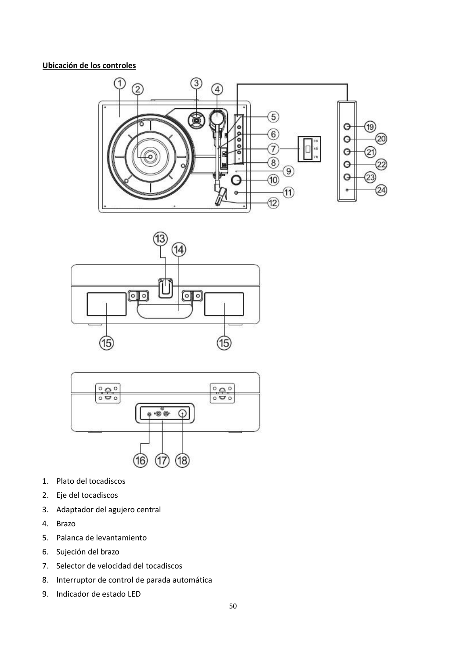# **Ubicación de los controles**







- 1. Plato del tocadiscos
- 2. Eje del tocadiscos
- 3. Adaptador del agujero central
- 4. Brazo
- 5. Palanca de levantamiento
- 6. Sujeción del brazo
- 7. Selector de velocidad del tocadiscos
- 8. Interruptor de control de parada automática
- 9. Indicador de estado LED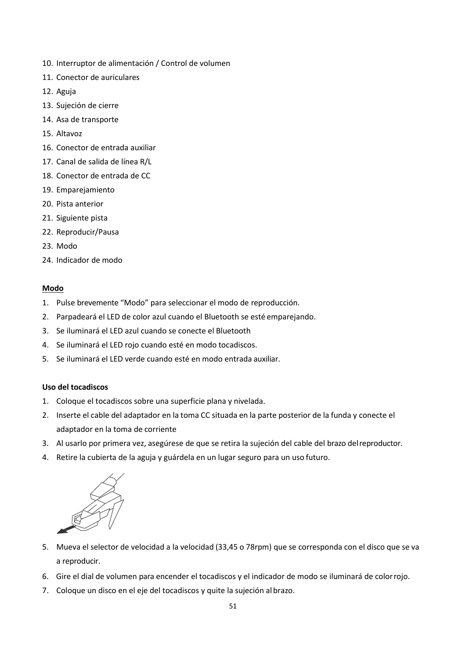- 10. Interruptor de alimentación / Control de volumen
- 11. Conector de auriculares
- 12. Aguja
- 13. Sujeción de cierre
- 14. Asa de transporte
- 15. Altavoz
- 16. Conector de entrada auxiliar
- 17. Canal de salida de línea R/L
- 18. Conector de entrada de CC
- 19. Emparejamiento
- 20. Pista anterior
- 21. Siguiente pista
- 22. Reproducir/Pausa
- 23. Modo
- 24. Indicador de modo

# **Modo**

- 1. Pulse brevemente "Modo" para seleccionar el modo de reproducción.
- 2. Parpadeará el LED de color azul cuando el Bluetooth se esté emparejando.
- 3. Se iluminará el LED azul cuando se conecte el Bluetooth
- 4. Se iluminará el LED rojo cuando esté en modo tocadiscos.
- 5. Se iluminará el LED verde cuando esté en modo entrada auxiliar.

# **Uso del tocadiscos**

- 1. Coloque el tocadiscos sobre una superficie plana y nivelada.
- 2. Inserte el cable del adaptador en la toma CC situada en la parte posterior de la funda y conecte el adaptador en la toma de corriente
- 3. Al usarlo por primera vez, asegúrese de que se retira la sujeción del cable del brazo delreproductor.
- 4. Retire la cubierta de la aguja y guárdela en un lugar seguro para un uso futuro.



- 5. Mueva el selector de velocidad a la velocidad (33,45 o 78rpm) que se corresponda con el disco que se va a reproducir.
- 6. Gire el dial de volumen para encender el tocadiscos y el indicador de modo se iluminará de colorrojo.
- 7. Coloque un disco en el eje del tocadiscos y quite la sujeción albrazo.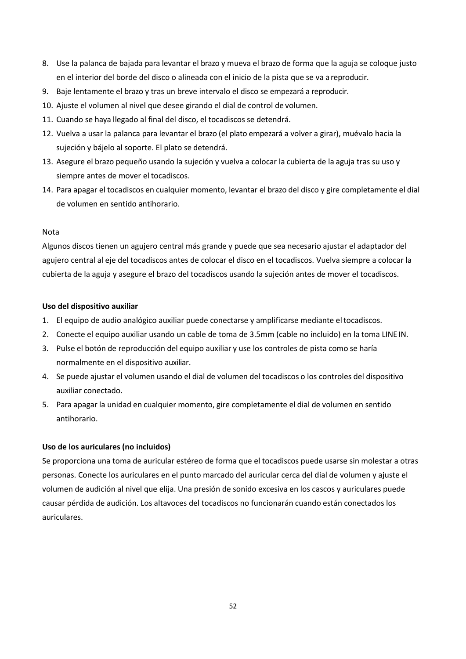- 8. Use la palanca de bajada para levantar el brazo y mueva el brazo de forma que la aguja se coloque justo en el interior del borde del disco o alineada con el inicio de la pista que se va a reproducir.
- 9. Baje lentamente el brazo y tras un breve intervalo el disco se empezará a reproducir.
- 10. Ajuste el volumen al nivel que desee girando el dial de control de volumen.
- 11. Cuando se haya llegado al final del disco, el tocadiscos se detendrá.
- 12. Vuelva a usar la palanca para levantar el brazo (el plato empezará a volver a girar), muévalo hacia la sujeción y bájelo al soporte. El plato se detendrá.
- 13. Asegure el brazo pequeño usando la sujeción y vuelva a colocar la cubierta de la aguja tras su uso y siempre antes de mover el tocadiscos.
- 14. Para apagar el tocadiscos en cualquier momento, levantar el brazo del disco y gire completamente el dial de volumen en sentido antihorario.

# Nota

Algunos discos tienen un agujero central más grande y puede que sea necesario ajustar el adaptador del agujero central al eje del tocadiscos antes de colocar el disco en el tocadiscos. Vuelva siempre a colocar la cubierta de la aguja y asegure el brazo del tocadiscos usando la sujeción antes de mover el tocadiscos.

# **Uso del dispositivo auxiliar**

- 1. El equipo de audio analógico auxiliar puede conectarse y amplificarse mediante eltocadiscos.
- 2. Conecte el equipo auxiliar usando un cable de toma de 3.5mm (cable no incluido) en la toma LINE IN.
- 3. Pulse el botón de reproducción del equipo auxiliar y use los controles de pista como se haría normalmente en el dispositivo auxiliar.
- 4. Se puede ajustar el volumen usando el dial de volumen del tocadiscos o los controles del dispositivo auxiliar conectado.
- 5. Para apagar la unidad en cualquier momento, gire completamente el dial de volumen en sentido antihorario.

# **Uso de los auriculares (no incluidos)**

Se proporciona una toma de auricular estéreo de forma que el tocadiscos puede usarse sin molestar a otras personas. Conecte los auriculares en el punto marcado del auricular cerca del dial de volumen y ajuste el volumen de audición al nivel que elija. Una presión de sonido excesiva en los cascos y auriculares puede causar pérdida de audición. Los altavoces del tocadiscos no funcionarán cuando están conectados los auriculares.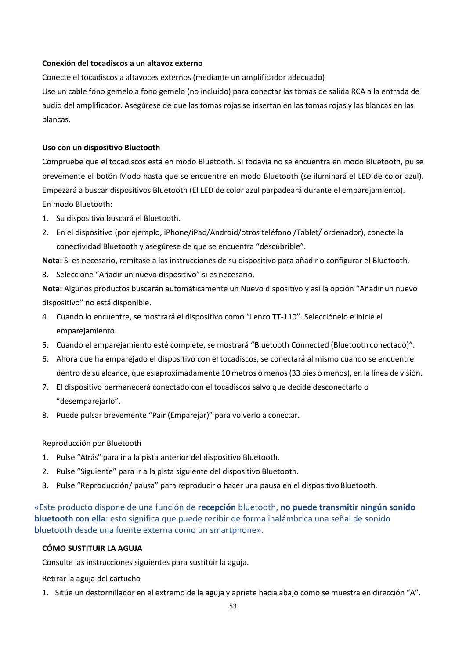## **Conexión del tocadiscos a un altavoz externo**

Conecte el tocadiscos a altavoces externos (mediante un amplificador adecuado) Use un cable fono gemelo a fono gemelo (no incluido) para conectar las tomas de salida RCA a la entrada de audio del amplificador. Asegúrese de que las tomas rojas se insertan en las tomas rojas y las blancas en las

#### **Uso con un dispositivo Bluetooth**

blancas.

Compruebe que el tocadiscos está en modo Bluetooth. Si todavía no se encuentra en modo Bluetooth, pulse brevemente el botón Modo hasta que se encuentre en modo Bluetooth (se iluminará el LED de color azul). Empezará a buscar dispositivos Bluetooth (El LED de color azul parpadeará durante el emparejamiento). En modo Bluetooth:

- 1. Su dispositivo buscará el Bluetooth.
- 2. En el dispositivo (por ejemplo, iPhone/iPad/Android/otros teléfono /Tablet/ ordenador), conecte la conectividad Bluetooth y asegúrese de que se encuentra "descubrible".

**Nota:** Si es necesario, remítase a las instrucciones de su dispositivo para añadir o configurar el Bluetooth.

3. Seleccione "Añadir un nuevo dispositivo" si es necesario.

**Nota:** Algunos productos buscarán automáticamente un Nuevo dispositivo y así la opción "Añadir un nuevo dispositivo" no está disponible.

- 4. Cuando lo encuentre, se mostrará el dispositivo como "Lenco TT-110". Selecciónelo e inicie el emparejamiento.
- 5. Cuando el emparejamiento esté complete, se mostrará "Bluetooth Connected (Bluetooth conectado)".
- 6. Ahora que ha emparejado el dispositivo con el tocadiscos, se conectará al mismo cuando se encuentre dentro de su alcance, que es aproximadamente 10 metros o menos(33 pies o menos), en la línea de visión.
- 7. El dispositivo permanecerá conectado con el tocadiscos salvo que decide desconectarlo o "desemparejarlo".
- 8. Puede pulsar brevemente "Pair (Emparejar)" para volverlo a conectar.

#### Reproducción por Bluetooth

- 1. Pulse "Atrás" para ir a la pista anterior del dispositivo Bluetooth.
- 2. Pulse "Siguiente" para ir a la pista siguiente del dispositivo Bluetooth.
- 3. Pulse "Reproducción/ pausa" para reproducir o hacer una pausa en el dispositivoBluetooth.

«Este producto dispone de una función de **recepción** bluetooth, **no puede transmitir ningún sonido bluetooth con ella**: esto significa que puede recibir de forma inalámbrica una señal de sonido bluetooth desde una fuente externa como un smartphone».

# **CÓMO SUSTITUIR LA AGUJA**

Consulte las instrucciones siguientes para sustituir la aguja.

Retirar la aguja del cartucho

1. Sitúe un destornillador en el extremo de la aguja y apriete hacia abajo como se muestra en dirección "A".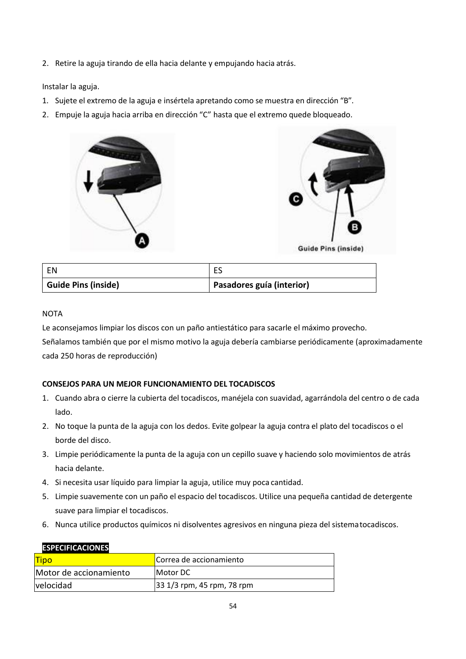2. Retire la aguja tirando de ella hacia delante y empujando hacia atrás.

Instalar la aguja.

- 1. Sujete el extremo de la aguja e insértela apretando como se muestra en dirección "B".
- 2. Empuje la aguja hacia arriba en dirección "C" hasta que el extremo quede bloqueado.



| EN                         |                           |
|----------------------------|---------------------------|
| <b>Guide Pins (inside)</b> | Pasadores guía (interior) |

# **NOTA**

Le aconsejamos limpiar los discos con un paño antiestático para sacarle el máximo provecho. Señalamos también que por el mismo motivo la aguja debería cambiarse periódicamente (aproximadamente cada 250 horas de reproducción)

# **CONSEJOS PARA UN MEJOR FUNCIONAMIENTO DEL TOCADISCOS**

- 1. Cuando abra o cierre la cubierta del tocadiscos, manéjela con suavidad, agarrándola del centro o de cada lado.
- 2. No toque la punta de la aguja con los dedos. Evite golpear la aguja contra el plato del tocadiscos o el borde del disco.
- 3. Limpie periódicamente la punta de la aguja con un cepillo suave y haciendo solo movimientos de atrás hacia delante.
- 4. Si necesita usar líquido para limpiar la aguja, utilice muy poca cantidad.
- 5. Limpie suavemente con un paño el espacio del tocadiscos. Utilice una pequeña cantidad de detergente suave para limpiar el tocadiscos.
- 6. Nunca utilice productos químicos ni disolventes agresivos en ninguna pieza del sistematocadiscos.

| ел есптедертел         |                            |
|------------------------|----------------------------|
| <b>Tipo</b>            | Correa de accionamiento    |
| Motor de accionamiento | IMotor DC                  |
| velocidad              | 33 1/3 rpm, 45 rpm, 78 rpm |

#### **ESPECIFICACIONES**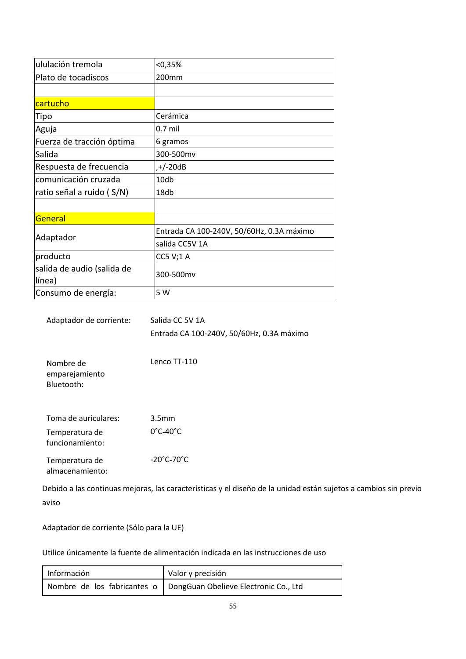| ululación tremola                    | < 0,35%                                   |
|--------------------------------------|-------------------------------------------|
| Plato de tocadiscos                  | 200mm                                     |
|                                      |                                           |
| cartucho                             |                                           |
| Tipo                                 | Cerámica                                  |
| Aguja                                | $0.7$ mil                                 |
| Fuerza de tracción óptima            | 6 gramos                                  |
| Salida                               | 300-500mv                                 |
| Respuesta de frecuencia              | ,+/-20dB                                  |
| comunicación cruzada                 | 10db                                      |
| ratio señal a ruido (S/N)            | 18db                                      |
|                                      |                                           |
| General                              |                                           |
|                                      | Entrada CA 100-240V, 50/60Hz, 0.3A máximo |
| Adaptador                            | salida CC5V 1A                            |
| producto                             | <b>CC5 V;1 A</b>                          |
| salida de audio (salida de<br>línea) | 300-500mv                                 |
| Consumo de energía:                  | 5 W                                       |

| Adaptador de corriente: | Salida CC 5V 1A                           |
|-------------------------|-------------------------------------------|
|                         | Entrada CA 100-240V, 50/60Hz, 0.3A máximo |

| Nombre de      | Lenco TT-110 |
|----------------|--------------|
| emparejamiento |              |
| Bluetooth:     |              |

| Toma de auriculares: | 3.5 <sub>mm</sub>               |
|----------------------|---------------------------------|
| Temperatura de       | $0^{\circ}$ C-40 $^{\circ}$ C   |
| Temperatura de       | $-20^{\circ}$ C-70 $^{\circ}$ C |
| funcionamiento:      |                                 |

almacenamiento:

Debido a las continuas mejoras, las características y el diseño de la unidad están sujetos a cambios sin previo aviso

Adaptador de corriente (Sólo para la UE)

Utilice únicamente la fuente de alimentación indicada en las instrucciones de uso

| Información | Valor y precisión                                                   |
|-------------|---------------------------------------------------------------------|
|             | Nombre de los fabricantes o   DongGuan Obelieve Electronic Co., Ltd |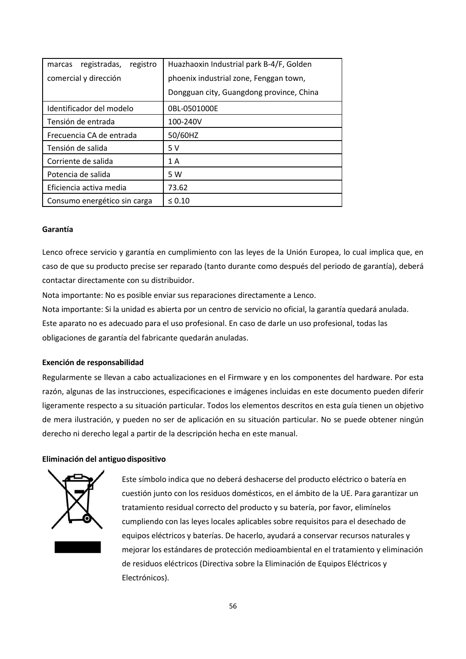| registradas,<br>registro<br>marcas | Huazhaoxin Industrial park B-4/F, Golden |
|------------------------------------|------------------------------------------|
| comercial y dirección              | phoenix industrial zone, Fenggan town,   |
|                                    | Dongguan city, Guangdong province, China |
| Identificador del modelo           | 0BL-0501000E                             |
| Tensión de entrada                 | 100-240V                                 |
| Frecuencia CA de entrada           | 50/60HZ                                  |
| Tensión de salida                  | 5 V                                      |
| Corriente de salida                | 1 A                                      |
| Potencia de salida                 | 5 W                                      |
| Eficiencia activa media            | 73.62                                    |
| Consumo energético sin carga       | $\leq 0.10$                              |

#### **Garantía**

Lenco ofrece servicio y garantía en cumplimiento con las leyes de la Unión Europea, lo cual implica que, en caso de que su producto precise ser reparado (tanto durante como después del periodo de garantía), deberá contactar directamente con su distribuidor.

Nota importante: No es posible enviar sus reparaciones directamente a Lenco.

Nota importante: Si la unidad es abierta por un centro de servicio no oficial, la garantía quedará anulada. Este aparato no es adecuado para el uso profesional. En caso de darle un uso profesional, todas las obligaciones de garantía del fabricante quedarán anuladas.

#### **Exención de responsabilidad**

Regularmente se llevan a cabo actualizaciones en el Firmware y en los componentes del hardware. Por esta razón, algunas de las instrucciones, especificaciones e imágenes incluidas en este documento pueden diferir ligeramente respecto a su situación particular. Todos los elementos descritos en esta guía tienen un objetivo de mera ilustración, y pueden no ser de aplicación en su situación particular. No se puede obtener ningún derecho ni derecho legal a partir de la descripción hecha en este manual.

#### **Eliminación del antiguo dispositivo**



Este símbolo indica que no deberá deshacerse del producto eléctrico o batería en cuestión junto con los residuos domésticos, en el ámbito de la UE. Para garantizar un tratamiento residual correcto del producto y su batería, por favor, elimínelos cumpliendo con las leyes locales aplicables sobre requisitos para el desechado de equipos eléctricos y baterías. De hacerlo, ayudará a conservar recursos naturales y mejorar los estándares de protección medioambiental en el tratamiento y eliminación de residuos eléctricos (Directiva sobre la Eliminación de Equipos Eléctricos y Electrónicos).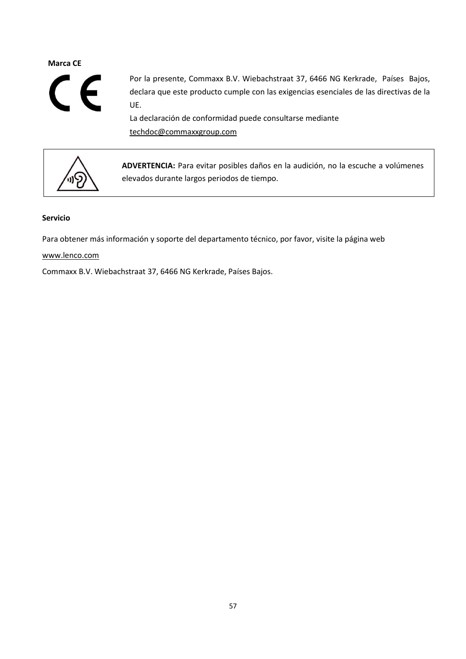# **Marca CE**



Por la presente, Commaxx B.V. Wiebachstraat 37, 6466 NG Kerkrade, Países Bajos, declara que este producto cumple con las exigencias esenciales de las directivas de la UE.

La declaración de conformidad puede consultarse mediante [techdoc@commaxxgroup.com](mailto:techdoc@commaxxgroup.com)



**ADVERTENCIA:** Para evitar posibles daños en la audición, no la escuche a volúmenes elevados durante largos periodos de tiempo.

# **Servicio**

Para obtener más información y soporte del departamento técnico, por favor, visite la página web

# [www.lenco.com](http://www.lenco.com/)

Commaxx B.V. Wiebachstraat 37, 6466 NG Kerkrade, Países Bajos.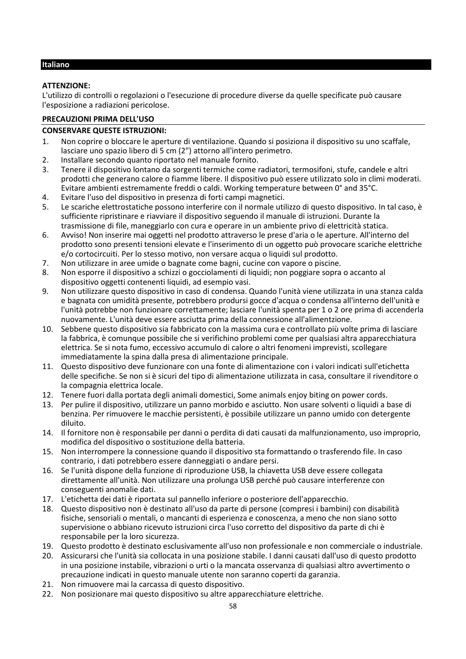# <span id="page-57-0"></span>**Italiano**

# **ATTENZIONE:**

L'utilizzo di controlli o regolazioni o l'esecuzione di procedure diverse da quelle specificate può causare l'esposizione a radiazioni pericolose.

# **PRECAUZIONI PRIMA DELL'USO**

# **CONSERVARE QUESTE ISTRUZIONI:**

- 1. Non coprire o bloccare le aperture di ventilazione. Quando si posiziona il dispositivo su uno scaffale, lasciare uno spazio libero di 5 cm (2") attorno all'intero perimetro.
- 2. Installare secondo quanto riportato nel manuale fornito.
- 3. Tenere il dispositivo lontano da sorgenti termiche come radiatori, termosifoni, stufe, candele e altri prodotti che generano calore o fiamme libere. Il dispositivo può essere utilizzato solo in climi moderati. Evitare ambienti estremamente freddi o caldi. Working temperature between 0° and 35°C.
- 4. Evitare l'uso del dispositivo in presenza di forti campi magnetici.
- 5. Le scariche elettrostatiche possono interferire con il normale utilizzo di questo dispositivo. In tal caso, è sufficiente ripristinare e riavviare il dispositivo seguendo il manuale di istruzioni. Durante la trasmissione di file, maneggiarlo con cura e operare in un ambiente privo di elettricità statica.
- 6. Avviso! Non inserire mai oggetti nel prodotto attraverso le prese d'aria o le aperture. All'interno del prodotto sono presenti tensioni elevate e l'inserimento di un oggetto può provocare scariche elettriche e/o cortocircuiti. Per lo stesso motivo, non versare acqua o liquidi sul prodotto.
- 7. Non utilizzare in aree umide o bagnate come bagni, cucine con vapore o piscine.
- 8. Non esporre il dispositivo a schizzi o gocciolamenti di liquidi; non poggiare sopra o accanto al dispositivo oggetti contenenti liquidi, ad esempio vasi.
- 9. Non utilizzare questo dispositivo in caso di condensa. Quando l'unità viene utilizzata in una stanza calda e bagnata con umidità presente, potrebbero prodursi gocce d'acqua o condensa all'interno dell'unità e l'unità potrebbe non funzionare correttamente; lasciare l'unità spenta per 1 o 2 ore prima di accenderla nuovamente. L'unità deve essere asciutta prima della connessione all'alimentzione.
- 10. Sebbene questo dispositivo sia fabbricato con la massima cura e controllato più volte prima di lasciare la fabbrica, è comunque possibile che si verifichino problemi come per qualsiasi altra apparecchiatura elettrica. Se si nota fumo, eccessivo accumulo di calore o altri fenomeni imprevisti, scollegare immediatamente la spina dalla presa di alimentazione principale.
- 11. Questo dispositivo deve funzionare con una fonte di alimentazione con i valori indicati sull'etichetta delle specifiche. Se non si è sicuri del tipo di alimentazione utilizzata in casa, consultare il rivenditore o la compagnia elettrica locale.
- 12. Tenere fuori dalla portata degli animali domestici, Some animals enjoy biting on power cords.
- 13. Per pulire il dispositivo, utilizzare un panno morbido e asciutto. Non usare solventi o liquidi a base di benzina. Per rimuovere le macchie persistenti, è possibile utilizzare un panno umido con detergente diluito.
- 14. Il fornitore non è responsabile per danni o perdita di dati causati da malfunzionamento, uso improprio, modifica del dispositivo o sostituzione della batteria.
- 15. Non interrompere la connessione quando il dispositivo sta formattando o trasferendo file. In caso contrario, i dati potrebbero essere danneggiati o andare persi.
- 16. Se l'unità dispone della funzione di riproduzione USB, la chiavetta USB deve essere collegata direttamente all'unità. Non utilizzare una prolunga USB perché può causare interferenze con conseguenti anomalie dati.
- 17. L'etichetta dei dati è riportata sul pannello inferiore o posteriore dell'apparecchio.
- 18. Questo dispositivo non è destinato all'uso da parte di persone (compresi i bambini) con disabilità fisiche, sensoriali o mentali, o mancanti di esperienza e conoscenza, a meno che non siano sotto supervisione o abbiano ricevuto istruzioni circa l'uso corretto del dispositivo da parte di chi è responsabile per la loro sicurezza.
- 19. Questo prodotto è destinato esclusivamente all'uso non professionale e non commerciale o industriale.
- 20. Assicurarsi che l'unità sia collocata in una posizione stabile. I danni causati dall'uso di questo prodotto in una posizione instabile, vibrazioni o urti o la mancata osservanza di qualsiasi altro avvertimento o precauzione indicati in questo manuale utente non saranno coperti da garanzia.
- 21. Non rimuovere mai la carcassa di questo dispositivo.
- 22. Non posizionare mai questo dispositivo su altre apparecchiature elettriche.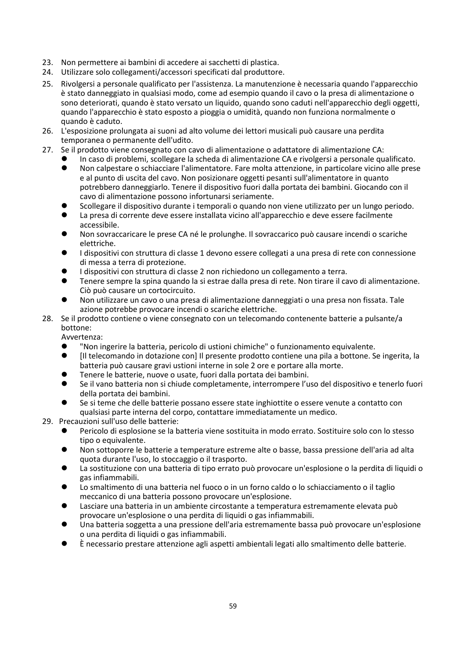- 23. Non permettere ai bambini di accedere ai sacchetti di plastica.
- 24. Utilizzare solo collegamenti/accessori specificati dal produttore.
- 25. Rivolgersi a personale qualificato per l'assistenza. La manutenzione è necessaria quando l'apparecchio è stato danneggiato in qualsiasi modo, come ad esempio quando il cavo o la presa di alimentazione o sono deteriorati, quando è stato versato un liquido, quando sono caduti nell'apparecchio degli oggetti, quando l'apparecchio è stato esposto a pioggia o umidità, quando non funziona normalmente o quando è caduto.
- 26. L'esposizione prolungata ai suoni ad alto volume dei lettori musicali può causare una perdita temporanea o permanente dell'udito.
- 27. Se il prodotto viene consegnato con cavo di alimentazione o adattatore di alimentazione CA:
	- In caso di problemi, scollegare la scheda di alimentazione CA e rivolgersi a personale qualificato.<br>● Non calpestare o schiacciare l'alimentatore. Eare molta attenzione, in particolare vicino alle pres
	- ⚫ Non calpestare o schiacciare l'alimentatore. Fare molta attenzione, in particolare vicino alle prese e al punto di uscita del cavo. Non posizionare oggetti pesanti sull'alimentatore in quanto potrebbero danneggiarlo. Tenere il dispositivo fuori dalla portata dei bambini. Giocando con il cavo di alimentazione possono infortunarsi seriamente.
	- ⚫ Scollegare il dispositivo durante i temporali o quando non viene utilizzato per un lungo periodo.
	- ⚫ La presa di corrente deve essere installata vicino all'apparecchio e deve essere facilmente accessibile.
	- ⚫ Non sovraccaricare le prese CA né le prolunghe. Il sovraccarico può causare incendi o scariche elettriche.
	- ⚫ I dispositivi con struttura di classe 1 devono essere collegati a una presa di rete con connessione di messa a terra di protezione.
	- I dispositivi con struttura di classe 2 non richiedono un collegamento a terra.
	- ⚫ Tenere sempre la spina quando la si estrae dalla presa di rete. Non tirare il cavo di alimentazione. Ciò può causare un cortocircuito.
	- ⚫ Non utilizzare un cavo o una presa di alimentazione danneggiati o una presa non fissata. Tale azione potrebbe provocare incendi o scariche elettriche.
- 28. Se il prodotto contiene o viene consegnato con un telecomando contenente batterie a pulsante/a bottone:

Avvertenza:

- l'Non ingerire la batteria, pericolo di ustioni chimiche" o funzionamento equivalente.<br>● lil telecomando in dotazione con ll presente prodotto contiene una pila a bottone. S
- ⚫ [Il telecomando in dotazione con] Il presente prodotto contiene una pila a bottone. Se ingerita, la batteria può causare gravi ustioni interne in sole 2 ore e portare alla morte.
- ⚫ Tenere le batterie, nuove o usate, fuori dalla portata dei bambini.
- ⚫ Se il vano batteria non si chiude completamente, interrompere l'uso del dispositivo e tenerlo fuori della portata dei bambini.
- ⚫ Se si teme che delle batterie possano essere state inghiottite o essere venute a contatto con qualsiasi parte interna del corpo, contattare immediatamente un medico.
- 29. Precauzioni sull'uso delle batterie:
	- ⚫ Pericolo di esplosione se la batteria viene sostituita in modo errato. Sostituire solo con lo stesso tipo o equivalente.
	- ⚫ Non sottoporre le batterie a temperature estreme alte o basse, bassa pressione dell'aria ad alta quota durante l'uso, lo stoccaggio o il trasporto.
	- La sostituzione con una batteria di tipo errato può provocare un'esplosione o la perdita di liquidi o gas infiammabili.
	- ⚫ Lo smaltimento di una batteria nel fuoco o in un forno caldo o lo schiacciamento o il taglio meccanico di una batteria possono provocare un'esplosione.
	- Lasciare una batteria in un ambiente circostante a temperatura estremamente elevata può provocare un'esplosione o una perdita di liquidi o gas infiammabili.
	- ⚫ Una batteria soggetta a una pressione dell'aria estremamente bassa può provocare un'esplosione o una perdita di liquidi o gas infiammabili.
	- ⚫ È necessario prestare attenzione agli aspetti ambientali legati allo smaltimento delle batterie.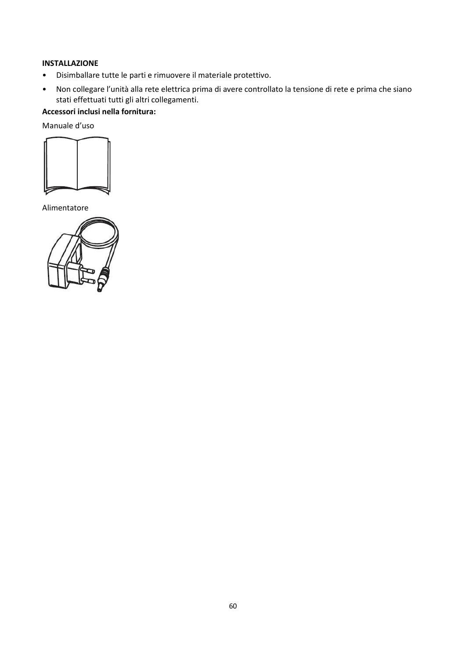# **INSTALLAZIONE**

- Disimballare tutte le parti e rimuovere il materiale protettivo.
- Non collegare l'unità alla rete elettrica prima di avere controllato la tensione di rete e prima che siano stati effettuati tutti gli altri collegamenti.

# **Accessori inclusi nella fornitura:**

Manuale d'uso



Alimentatore

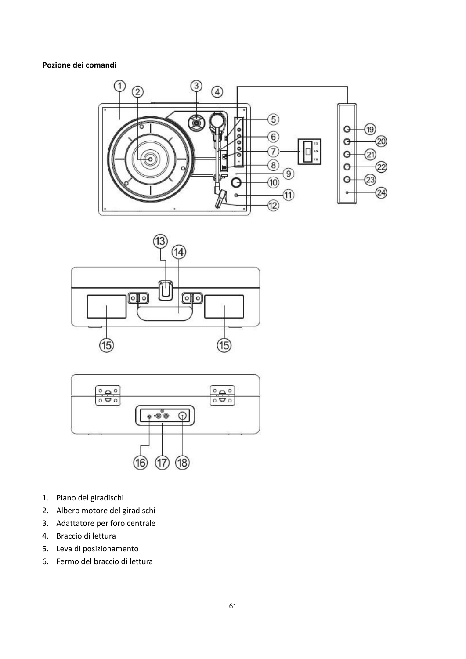# **Pozione dei comandi**







- 1. Piano del giradischi
- 2. Albero motore del giradischi
- 3. Adattatore per foro centrale
- 4. Braccio di lettura
- 5. Leva di posizionamento
- 6. Fermo del braccio di lettura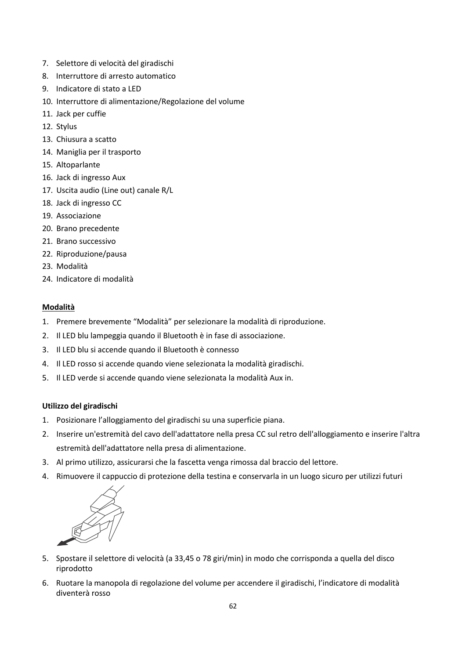- 7. Selettore di velocità del giradischi
- 8. Interruttore di arresto automatico
- 9. Indicatore di stato a LED
- 10. Interruttore di alimentazione/Regolazione del volume
- 11. Jack per cuffie
- 12. Stylus
- 13. Chiusura a scatto
- 14. Maniglia per il trasporto
- 15. Altoparlante
- 16. Jack di ingresso Aux
- 17. Uscita audio (Line out) canale R/L
- 18. Jack di ingresso CC
- 19. Associazione
- 20. Brano precedente
- 21. Brano successivo
- 22. Riproduzione/pausa
- 23. Modalità
- 24. Indicatore di modalità

# **Modalità**

- 1. Premere brevemente "Modalità" per selezionare la modalità di riproduzione.
- 2. Il LED blu lampeggia quando il Bluetooth è in fase di associazione.
- 3. Il LED blu si accende quando il Bluetooth è connesso
- 4. Il LED rosso si accende quando viene selezionata la modalità giradischi.
- 5. Il LED verde si accende quando viene selezionata la modalità Aux in.

# **Utilizzo del giradischi**

- 1. Posizionare l'alloggiamento del giradischi su una superficie piana.
- 2. Inserire un'estremità del cavo dell'adattatore nella presa CC sul retro dell'alloggiamento e inserire l'altra estremità dell'adattatore nella presa di alimentazione.
- 3. Al primo utilizzo, assicurarsi che la fascetta venga rimossa dal braccio del lettore.
- 4. Rimuovere il cappuccio di protezione della testina e conservarla in un luogo sicuro per utilizzi futuri



- 5. Spostare il selettore di velocità (a 33,45 o 78 giri/min) in modo che corrisponda a quella del disco riprodotto
- 6. Ruotare la manopola di regolazione del volume per accendere il giradischi, l'indicatore di modalità diventerà rosso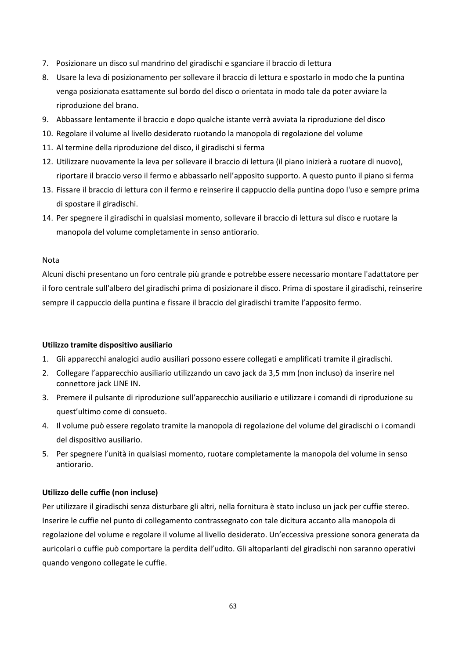- 7. Posizionare un disco sul mandrino del giradischi e sganciare il braccio di lettura
- 8. Usare la leva di posizionamento per sollevare il braccio di lettura e spostarlo in modo che la puntina venga posizionata esattamente sul bordo del disco o orientata in modo tale da poter avviare la riproduzione del brano.
- 9. Abbassare lentamente il braccio e dopo qualche istante verrà avviata la riproduzione del disco
- 10. Regolare il volume al livello desiderato ruotando la manopola di regolazione del volume
- 11. Al termine della riproduzione del disco, il giradischi si ferma
- 12. Utilizzare nuovamente la leva per sollevare il braccio di lettura (il piano inizierà a ruotare di nuovo), riportare il braccio verso il fermo e abbassarlo nell'apposito supporto. A questo punto il piano si ferma
- 13. Fissare il braccio di lettura con il fermo e reinserire il cappuccio della puntina dopo l'uso e sempre prima di spostare il giradischi.
- 14. Per spegnere il giradischi in qualsiasi momento, sollevare il braccio di lettura sul disco e ruotare la manopola del volume completamente in senso antiorario.

#### Nota

Alcuni dischi presentano un foro centrale più grande e potrebbe essere necessario montare l'adattatore per il foro centrale sull'albero del giradischi prima di posizionare il disco. Prima di spostare il giradischi, reinserire sempre il cappuccio della puntina e fissare il braccio del giradischi tramite l'apposito fermo.

#### **Utilizzo tramite dispositivo ausiliario**

- 1. Gli apparecchi analogici audio ausiliari possono essere collegati e amplificati tramite il giradischi.
- 2. Collegare l'apparecchio ausiliario utilizzando un cavo jack da 3,5 mm (non incluso) da inserire nel connettore jack LINE IN.
- 3. Premere il pulsante di riproduzione sull'apparecchio ausiliario e utilizzare i comandi di riproduzione su quest'ultimo come di consueto.
- 4. Il volume può essere regolato tramite la manopola di regolazione del volume del giradischi o i comandi del dispositivo ausiliario.
- 5. Per spegnere l'unità in qualsiasi momento, ruotare completamente la manopola del volume in senso antiorario.

# **Utilizzo delle cuffie (non incluse)**

Per utilizzare il giradischi senza disturbare gli altri, nella fornitura è stato incluso un jack per cuffie stereo. Inserire le cuffie nel punto di collegamento contrassegnato con tale dicitura accanto alla manopola di regolazione del volume e regolare il volume al livello desiderato. Un'eccessiva pressione sonora generata da auricolari o cuffie può comportare la perdita dell'udito. Gli altoparlanti del giradischi non saranno operativi quando vengono collegate le cuffie.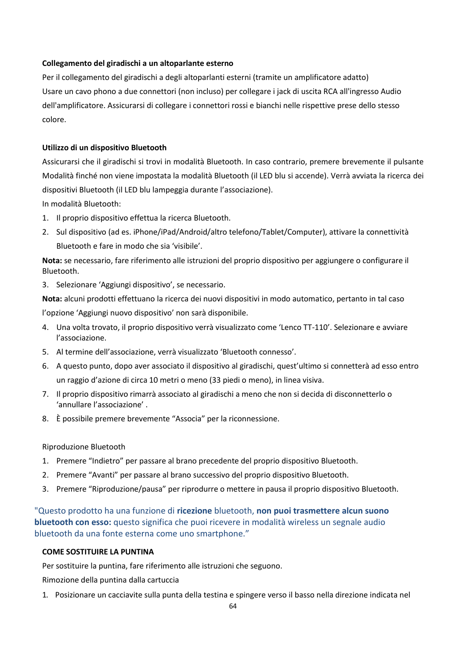# **Collegamento del giradischi a un altoparlante esterno**

Per il collegamento del giradischi a degli altoparlanti esterni (tramite un amplificatore adatto) Usare un cavo phono a due connettori (non incluso) per collegare i jack di uscita RCA all'ingresso Audio dell'amplificatore. Assicurarsi di collegare i connettori rossi e bianchi nelle rispettive prese dello stesso colore.

# **Utilizzo di un dispositivo Bluetooth**

Assicurarsi che il giradischi si trovi in modalità Bluetooth. In caso contrario, premere brevemente il pulsante Modalità finché non viene impostata la modalità Bluetooth (il LED blu si accende). Verrà avviata la ricerca dei dispositivi Bluetooth (il LED blu lampeggia durante l'associazione).

In modalità Bluetooth:

- 1. Il proprio dispositivo effettua la ricerca Bluetooth.
- 2. Sul dispositivo (ad es. iPhone/iPad/Android/altro telefono/Tablet/Computer), attivare la connettività Bluetooth e fare in modo che sia 'visibile'.

**Nota:** se necessario, fare riferimento alle istruzioni del proprio dispositivo per aggiungere o configurare il Bluetooth.

3. Selezionare 'Aggiungi dispositivo', se necessario.

**Nota:** alcuni prodotti effettuano la ricerca dei nuovi dispositivi in modo automatico, pertanto in tal caso l'opzione 'Aggiungi nuovo dispositivo' non sarà disponibile.

- 4. Una volta trovato, il proprio dispositivo verrà visualizzato come 'Lenco TT-110'. Selezionare e avviare l'associazione.
- 5. Al termine dell'associazione, verrà visualizzato 'Bluetooth connesso'.
- 6. A questo punto, dopo aver associato il dispositivo al giradischi, quest'ultimo si connetterà ad esso entro un raggio d'azione di circa 10 metri o meno (33 piedi o meno), in linea visiva.
- 7. Il proprio dispositivo rimarrà associato al giradischi a meno che non si decida di disconnetterlo o 'annullare l'associazione' .
- 8. È possibile premere brevemente "Associa" per la riconnessione.

#### Riproduzione Bluetooth

- 1. Premere "Indietro" per passare al brano precedente del proprio dispositivo Bluetooth.
- 2. Premere "Avanti" per passare al brano successivo del proprio dispositivo Bluetooth.
- 3. Premere "Riproduzione/pausa" per riprodurre o mettere in pausa il proprio dispositivo Bluetooth.

"Questo prodotto ha una funzione di **ricezione** bluetooth, **non puoi trasmettere alcun suono bluetooth con esso:** questo significa che puoi ricevere in modalità wireless un segnale audio bluetooth da una fonte esterna come uno smartphone."

# **COME SOSTITUIRE LA PUNTINA**

Per sostituire la puntina, fare riferimento alle istruzioni che seguono.

Rimozione della puntina dalla cartuccia

1. Posizionare un cacciavite sulla punta della testina e spingere verso il basso nella direzione indicata nel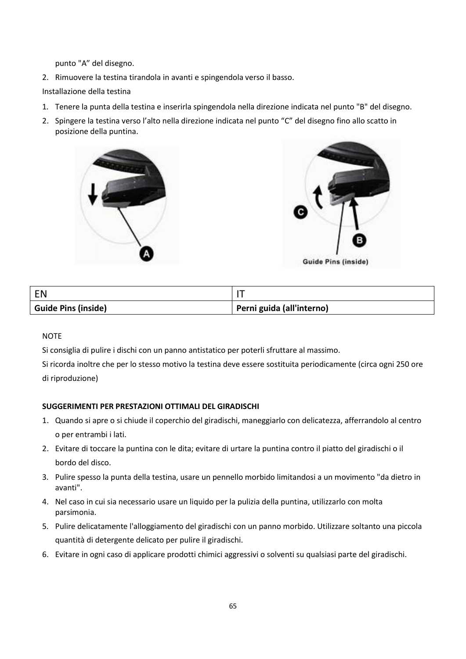punto "A" del disegno.

2. Rimuovere la testina tirandola in avanti e spingendola verso il basso.

Installazione della testina

- 1. Tenere la punta della testina e inserirla spingendola nella direzione indicata nel punto "B" del disegno.
- 2. Spingere la testina verso l'alto nella direzione indicata nel punto "C" del disegno fino allo scatto in posizione della puntina.





| <b>FN</b>                  |                           |
|----------------------------|---------------------------|
| <b>Guide Pins (inside)</b> | Perni guida (all'interno) |

#### **NOTE**

Si consiglia di pulire i dischi con un panno antistatico per poterli sfruttare al massimo.

Si ricorda inoltre che per lo stesso motivo la testina deve essere sostituita periodicamente (circa ogni 250 ore di riproduzione)

# **SUGGERIMENTI PER PRESTAZIONI OTTIMALI DEL GIRADISCHI**

- 1. Quando si apre o si chiude il coperchio del giradischi, maneggiarlo con delicatezza, afferrandolo al centro o per entrambi i lati.
- 2. Evitare di toccare la puntina con le dita; evitare di urtare la puntina contro il piatto del giradischi o il bordo del disco.
- 3. Pulire spesso la punta della testina, usare un pennello morbido limitandosi a un movimento "da dietro in avanti".
- 4. Nel caso in cui sia necessario usare un liquido per la pulizia della puntina, utilizzarlo con molta parsimonia.
- 5. Pulire delicatamente l'alloggiamento del giradischi con un panno morbido. Utilizzare soltanto una piccola quantità di detergente delicato per pulire il giradischi.
- 6. Evitare in ogni caso di applicare prodotti chimici aggressivi o solventi su qualsiasi parte del giradischi.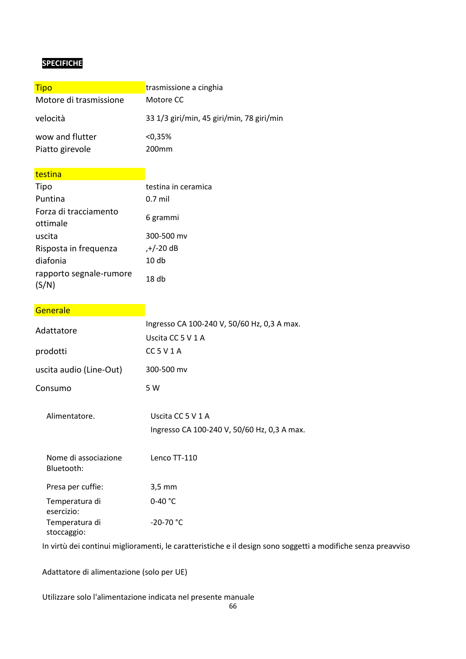# **SPECIFICHE**

| trasmissione a cinghia                    |
|-------------------------------------------|
| Motore CC                                 |
| 33 1/3 giri/min, 45 giri/min, 78 giri/min |
| $< 0.35\%$<br>200mm                       |
|                                           |

# testina **the contract of the contract of the contract of the contract of the contract of the contract of the contract of the contract of the contract of the contract of the contract of the contract of the contract of the c**

| Tipo                              | testina in ceramica |
|-----------------------------------|---------------------|
| Puntina                           | $0.7$ mil           |
| Forza di tracciamento<br>ottimale | 6 grammi            |
| uscita                            | 300-500 mv          |
| Risposta in frequenza             | ,+/-20 dB           |
| diafonia                          | 10 <sub>db</sub>    |
| rapporto segnale-rumore           | 18 <sub>db</sub>    |

# Generale **Generale**

| Adattatore                         | Ingresso CA 100-240 V, 50/60 Hz, 0,3 A max.<br>Uscita CC 5 V 1 A |
|------------------------------------|------------------------------------------------------------------|
| prodotti                           | $CC$ 5 V 1 A                                                     |
| uscita audio (Line-Out)            | 300-500 mv                                                       |
| Consumo                            | 5 W                                                              |
| Alimentatore.                      | Uscita CC 5 V 1 A<br>Ingresso CA 100-240 V, 50/60 Hz, 0,3 A max. |
| Nome di associazione<br>Bluetooth: | Lenco TT-110                                                     |
| Presa per cuffie:                  | $3,5$ mm                                                         |
| Temperatura di<br>esercizio:       | 0-40 $°C$                                                        |
| Temperatura di<br>stoccaggio:      | $-20-70$ °C                                                      |

In virtù dei continui miglioramenti, le caratteristiche e il design sono soggetti a modifiche senza preavviso

Adattatore di alimentazione (solo per UE)

Utilizzare solo l'alimentazione indicata nel presente manuale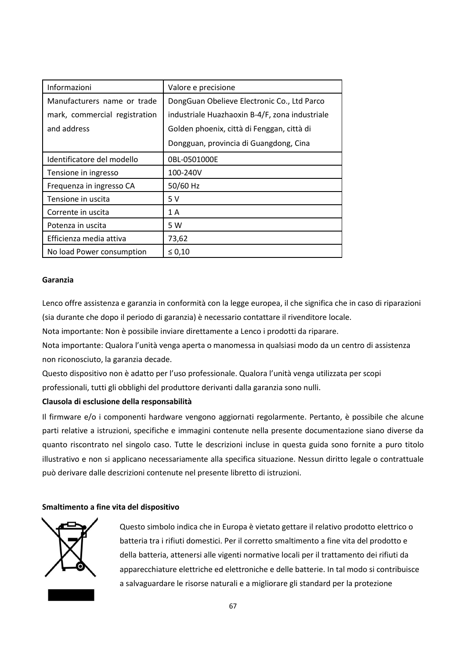| Informazioni                  | Valore e precisione                            |
|-------------------------------|------------------------------------------------|
| Manufacturers name or trade   | DongGuan Obelieve Electronic Co., Ltd Parco    |
| mark, commercial registration | industriale Huazhaoxin B-4/F, zona industriale |
| and address                   | Golden phoenix, città di Fenggan, città di     |
|                               | Dongguan, provincia di Guangdong, Cina         |
| Identificatore del modello    | 0BL-0501000E                                   |
| Tensione in ingresso          | 100-240V                                       |
| Frequenza in ingresso CA      | 50/60 Hz                                       |
| Tensione in uscita            | 5V                                             |
| Corrente in uscita            | 1 A                                            |
| Potenza in uscita             | 5 W                                            |
| Efficienza media attiva       | 73,62                                          |
| No load Power consumption     | $\leq 0,10$                                    |

#### **Garanzia**

Lenco offre assistenza e garanzia in conformità con la legge europea, il che significa che in caso di riparazioni (sia durante che dopo il periodo di garanzia) è necessario contattare il rivenditore locale.

Nota importante: Non è possibile inviare direttamente a Lenco i prodotti da riparare.

Nota importante: Qualora l'unità venga aperta o manomessa in qualsiasi modo da un centro di assistenza non riconosciuto, la garanzia decade.

Questo dispositivo non è adatto per l'uso professionale. Qualora l'unità venga utilizzata per scopi professionali, tutti gli obblighi del produttore derivanti dalla garanzia sono nulli.

# **Clausola di esclusione della responsabilità**

Il firmware e/o i componenti hardware vengono aggiornati regolarmente. Pertanto, è possibile che alcune parti relative a istruzioni, specifiche e immagini contenute nella presente documentazione siano diverse da quanto riscontrato nel singolo caso. Tutte le descrizioni incluse in questa guida sono fornite a puro titolo illustrativo e non si applicano necessariamente alla specifica situazione. Nessun diritto legale o contrattuale può derivare dalle descrizioni contenute nel presente libretto di istruzioni.

# **Smaltimento a fine vita del dispositivo**



Questo simbolo indica che in Europa è vietato gettare il relativo prodotto elettrico o batteria tra i rifiuti domestici. Per il corretto smaltimento a fine vita del prodotto e della batteria, attenersi alle vigenti normative locali per il trattamento dei rifiuti da apparecchiature elettriche ed elettroniche e delle batterie. In tal modo si contribuisce a salvaguardare le risorse naturali e a migliorare gli standard per la protezione